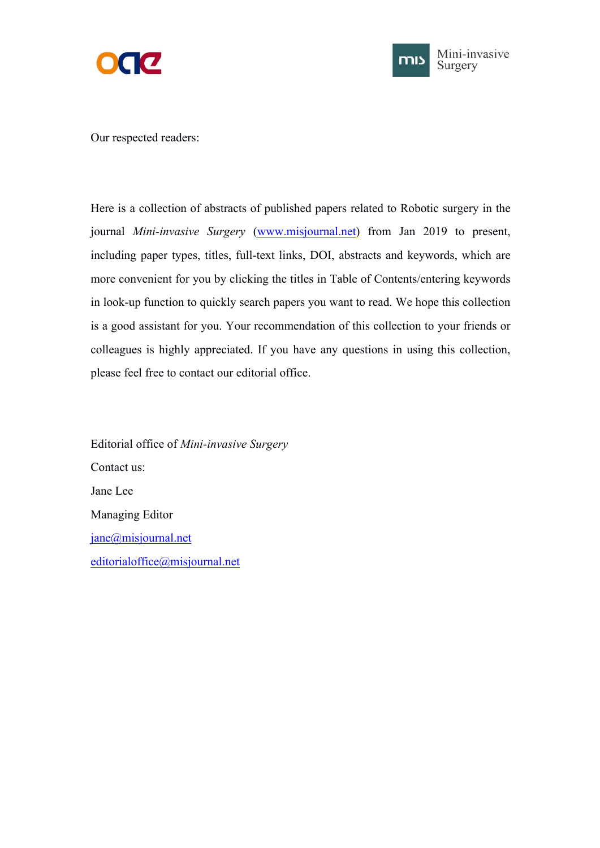



Our respected readers:

Here is a collection of abstracts of published papers related to Robotic surgery in the journal *Mini-invasive Surgery* [\(www.misjournal.net](http://www.misjournal.net)) from Jan 2019 to present, including paper types, titles, full-text links, DOI, abstracts and keywords, which are more convenient for you by clicking the titles in Table of Contents/entering keywords in look-up function to quickly search papers you want to read. We hope this collection is a good assistant for you. Your recommendation of this collection to your friends or colleagues is highly appreciated. If you have any questions in using this collection, please feel free to contact our editorial office.

Editorial office of *Mini-invasive Surgery* Contact us: Jane Lee Managing Editor [jane@misjournal.net](mailto:jane@misjournal.net) [editorialoffice@misjournal.net](mailto:editorialoffice@misjournal.net)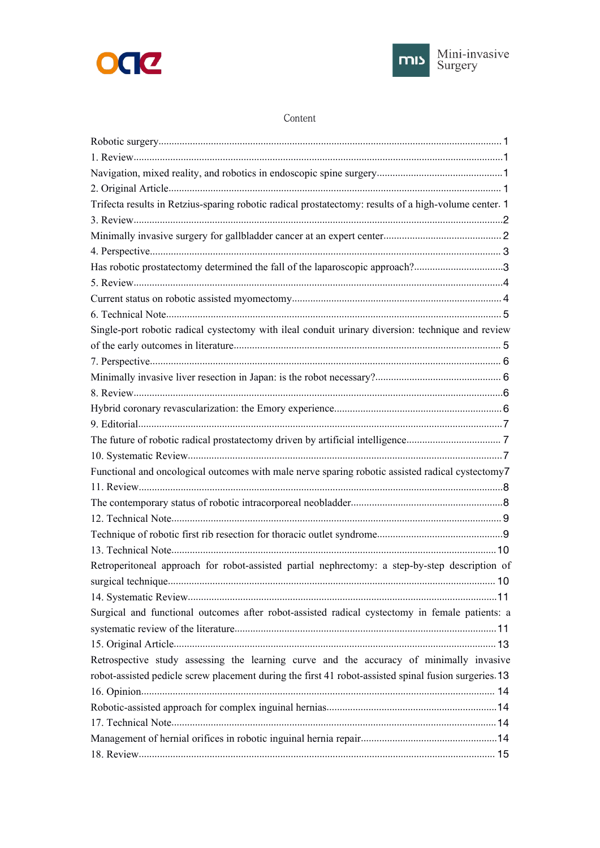



#### Content

| Trifecta results in Retzius-sparing robotic radical prostatectomy: results of a high-volume center. 1 |  |
|-------------------------------------------------------------------------------------------------------|--|
|                                                                                                       |  |
|                                                                                                       |  |
|                                                                                                       |  |
| Has robotic prostatectomy determined the fall of the laparoscopic approach?3                          |  |
|                                                                                                       |  |
|                                                                                                       |  |
|                                                                                                       |  |
| Single-port robotic radical cystectomy with ileal conduit urinary diversion: technique and review     |  |
|                                                                                                       |  |
|                                                                                                       |  |
|                                                                                                       |  |
|                                                                                                       |  |
|                                                                                                       |  |
|                                                                                                       |  |
|                                                                                                       |  |
|                                                                                                       |  |
| Functional and oncological outcomes with male nerve sparing robotic assisted radical cystectomy7      |  |
|                                                                                                       |  |
|                                                                                                       |  |
|                                                                                                       |  |
|                                                                                                       |  |
|                                                                                                       |  |
| Retroperitoneal approach for robot-assisted partial nephrectomy: a step-by-step description of        |  |
|                                                                                                       |  |
|                                                                                                       |  |
| Surgical and functional outcomes after robot-assisted radical cystectomy in female patients: a        |  |
|                                                                                                       |  |
|                                                                                                       |  |
| Retrospective study assessing the learning curve and the accuracy of minimally invasive               |  |
| robot-assisted pedicle screw placement during the first 41 robot-assisted spinal fusion surgeries. 13 |  |
|                                                                                                       |  |
|                                                                                                       |  |
|                                                                                                       |  |
|                                                                                                       |  |
|                                                                                                       |  |
|                                                                                                       |  |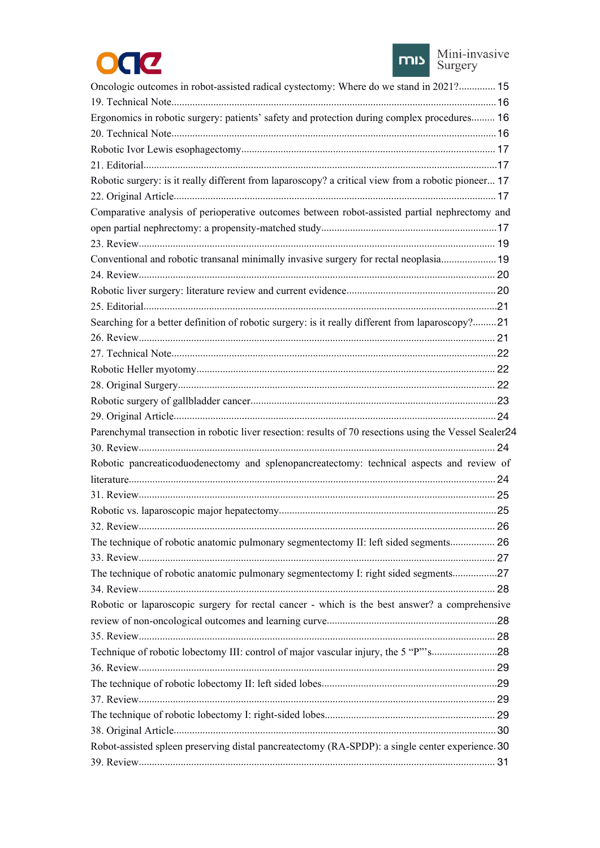



| Oncologic outcomes in robot-assisted radical cystectomy: Where do we stand in 2021? 15                 |  |
|--------------------------------------------------------------------------------------------------------|--|
|                                                                                                        |  |
| Ergonomics in robotic surgery: patients' safety and protection during complex procedures 16            |  |
|                                                                                                        |  |
|                                                                                                        |  |
|                                                                                                        |  |
| Robotic surgery: is it really different from laparoscopy? a critical view from a robotic pioneer 17    |  |
|                                                                                                        |  |
| Comparative analysis of perioperative outcomes between robot-assisted partial nephrectomy and          |  |
|                                                                                                        |  |
|                                                                                                        |  |
| Conventional and robotic transanal minimally invasive surgery for rectal neoplasia 19                  |  |
|                                                                                                        |  |
|                                                                                                        |  |
|                                                                                                        |  |
| Searching for a better definition of robotic surgery: is it really different from laparoscopy?21       |  |
|                                                                                                        |  |
|                                                                                                        |  |
|                                                                                                        |  |
|                                                                                                        |  |
|                                                                                                        |  |
|                                                                                                        |  |
| Parenchymal transection in robotic liver resection: results of 70 resections using the Vessel Sealer24 |  |
|                                                                                                        |  |
| Robotic pancreaticoduodenectomy and splenopancreatectomy: technical aspects and review of              |  |
|                                                                                                        |  |
|                                                                                                        |  |
|                                                                                                        |  |
|                                                                                                        |  |
| The technique of robotic anatomic pulmonary segmentectomy II: left sided segments 26                   |  |
|                                                                                                        |  |
| The technique of robotic anatomic pulmonary segmentectomy I: right sided segments27                    |  |
|                                                                                                        |  |
| Robotic or laparoscopic surgery for rectal cancer - which is the best answer? a comprehensive          |  |
|                                                                                                        |  |
|                                                                                                        |  |
| Technique of robotic lobectomy III: control of major vascular injury, the 5 "P"'s28                    |  |
|                                                                                                        |  |
|                                                                                                        |  |
|                                                                                                        |  |
|                                                                                                        |  |
|                                                                                                        |  |
| Robot-assisted spleen preserving distal pancreatectomy (RA-SPDP): a single center experience. 30       |  |
|                                                                                                        |  |
|                                                                                                        |  |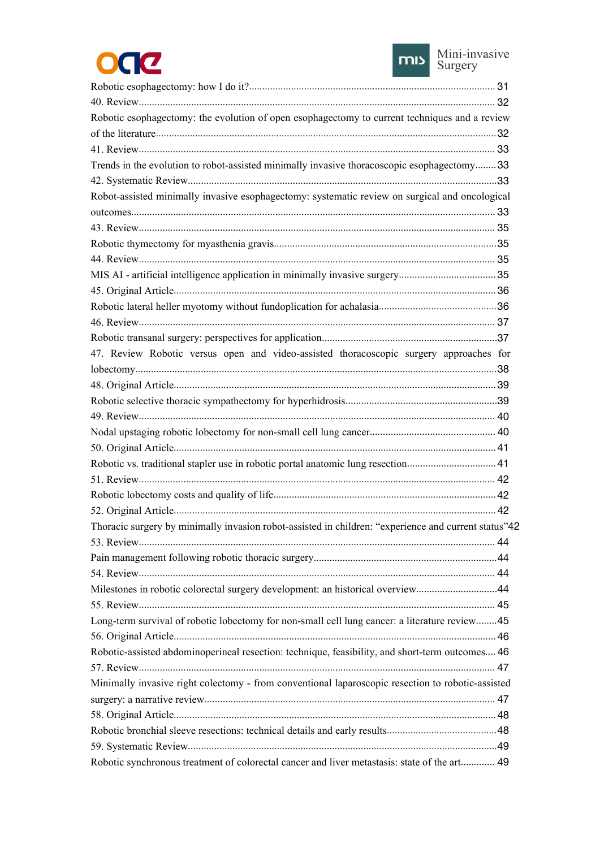



| Robotic esophagectomy: the evolution of open esophagectomy to current techniques and a review        |  |
|------------------------------------------------------------------------------------------------------|--|
|                                                                                                      |  |
|                                                                                                      |  |
| Trends in the evolution to robot-assisted minimally invasive thoracoscopic esophagectomy33           |  |
|                                                                                                      |  |
| Robot-assisted minimally invasive esophagectomy: systematic review on surgical and oncological       |  |
|                                                                                                      |  |
|                                                                                                      |  |
|                                                                                                      |  |
|                                                                                                      |  |
|                                                                                                      |  |
|                                                                                                      |  |
|                                                                                                      |  |
|                                                                                                      |  |
|                                                                                                      |  |
| 47. Review Robotic versus open and video-assisted thoracoscopic surgery approaches for               |  |
|                                                                                                      |  |
|                                                                                                      |  |
|                                                                                                      |  |
|                                                                                                      |  |
|                                                                                                      |  |
|                                                                                                      |  |
| Robotic vs. traditional stapler use in robotic portal anatomic lung resection 41                     |  |
|                                                                                                      |  |
|                                                                                                      |  |
|                                                                                                      |  |
| Thoracic surgery by minimally invasion robot-assisted in children: "experience and current status"42 |  |
|                                                                                                      |  |
|                                                                                                      |  |
|                                                                                                      |  |
| Milestones in robotic colorectal surgery development: an historical overview44                       |  |
|                                                                                                      |  |
| Long-term survival of robotic lobectomy for non-small cell lung cancer: a literature review45        |  |
|                                                                                                      |  |
| Robotic-assisted abdominoperineal resection: technique, feasibility, and short-term outcomes 46      |  |
|                                                                                                      |  |
| Minimally invasive right colectomy - from conventional laparoscopic resection to robotic-assisted    |  |
|                                                                                                      |  |
|                                                                                                      |  |
|                                                                                                      |  |
|                                                                                                      |  |
|                                                                                                      |  |
| Robotic synchronous treatment of colorectal cancer and liver metastasis: state of the art 49         |  |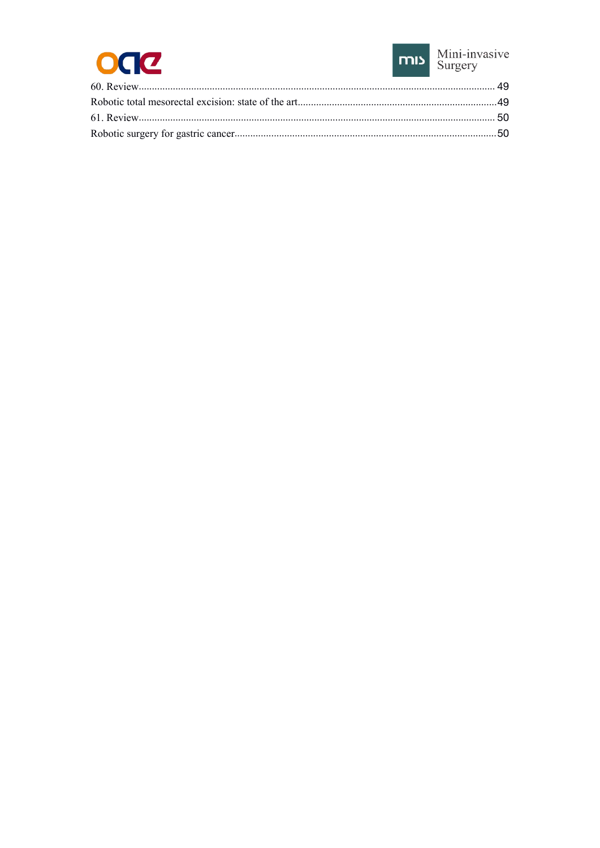

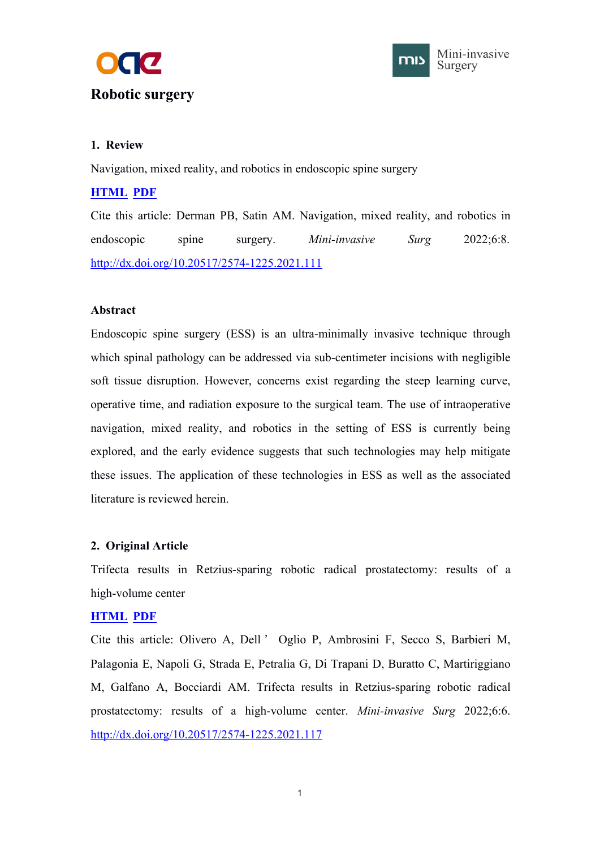<span id="page-5-1"></span><span id="page-5-0"></span>



# **1. Review**

Navigation, mixed reality, and robotics in endoscopic spine surgery

# **[HTML](https://misjournal.net/article/view/4606) [PDF](https://oaepublishstorage.blob.core.windows.net/dd3610cb-e8bd-4b70-a609-783e660b6a14/4606.pdf)**

Cite this article: Derman PB, Satin AM. Navigation, mixed reality, and robotics in endoscopic spine surgery. *Mini-invasive Surg* 2022;6:8. <http://dx.doi.org/10.20517/2574-1225.2021.111>

## **Abstract**

Endoscopic spine surgery (ESS) is an ultra-minimally invasive technique through which spinal pathology can be addressed via sub-centimeter incisions with negligible soft tissue disruption. However, concerns exist regarding the steep learning curve, operative time, and radiation exposure to the surgical team. The use of intraoperative navigation, mixed reality, and robotics in the setting of ESS is currently being explored, and the early evidence suggests that such technologies may help mitigate these issues. The application of these technologies in ESS as well as the associated literature is reviewed herein.

# **2. Original Article**

Trifecta results in Retzius-sparing robotic radical prostatectomy: results of a high-volume center

# **[HTML](https://misjournal.net/article/view/4548) [PDF](https://oaepublishstorage.blob.core.windows.net/e69df386-f984-46e9-896f-8e508c65e580/4548.pdf)**

Cite this article: Olivero A, Dell ' Oglio P, Ambrosini F, Secco S, Barbieri M, Palagonia E, Napoli G, Strada E, Petralia G, Di Trapani D, Buratto C, Martiriggiano M, Galfano A, Bocciardi AM. Trifecta results in Retzius-sparing robotic radical prostatectomy: results of a high-volume center. *Mini-invasive Surg* 2022;6:6. <http://dx.doi.org/10.20517/2574-1225.2021.117>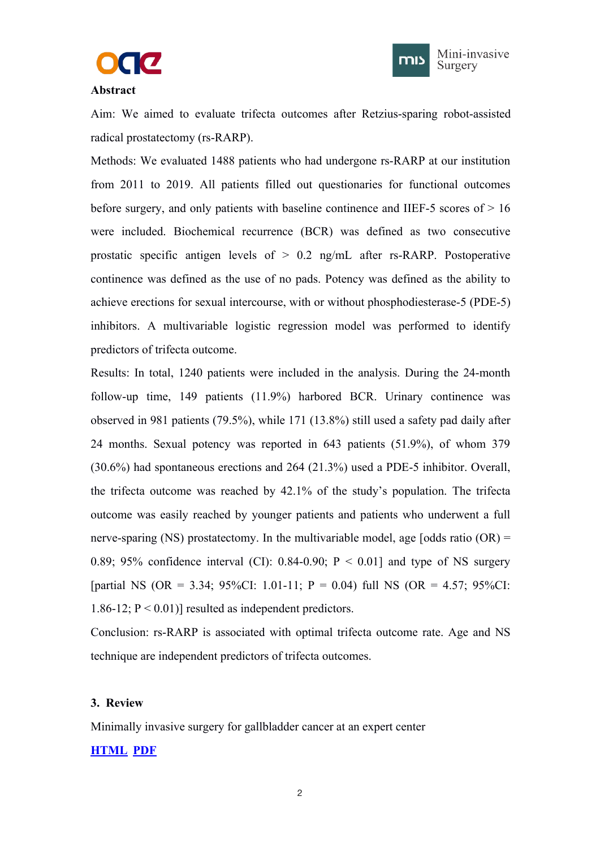



### <span id="page-6-1"></span><span id="page-6-0"></span>**Abstract**

Aim: We aimed to evaluate trifecta outcomes after Retzius-sparing robot-assisted radical prostatectomy (rs-RARP).

Methods: We evaluated 1488 patients who had undergone rs-RARP at our institution from 2011 to 2019. All patients filled out questionaries for functional outcomes before surgery, and only patients with baseline continence and IIEF-5 scores of  $> 16$ were included. Biochemical recurrence (BCR) was defined as two consecutive prostatic specific antigen levels of > 0.2 ng/mL after rs-RARP. Postoperative continence was defined as the use of no pads. Potency was defined as the ability to achieve erections for sexual intercourse, with or without phosphodiesterase-5 (PDE-5) inhibitors. A multivariable logistic regression model was performed to identify predictors of trifecta outcome.

Results: In total, 1240 patients were included in the analysis. During the 24-month follow-up time, 149 patients (11.9%) harbored BCR. Urinary continence was observed in 981 patients (79.5%), while 171 (13.8%) still used a safety pad daily after 24 months. Sexual potency was reported in 643 patients (51.9%), of whom 379 (30.6%) had spontaneous erections and 264 (21.3%) used a PDE-5 inhibitor. Overall, the trifecta outcome was reached by 42.1% of the study's population. The trifecta outcome was easily reached by younger patients and patients who underwent a full nerve-sparing (NS) prostatectomy. In the multivariable model, age [odds ratio  $(OR)$  = 0.89; 95% confidence interval (CI): 0.84-0.90;  $P < 0.01$ ] and type of NS surgery [partial NS (OR = 3.34; 95%CI: 1.01-11; P = 0.04) full NS (OR = 4.57; 95%CI: 1.86-12;  $P < 0.01$ ] resulted as independent predictors.

Conclusion: rs-RARP is associated with optimal trifecta outcome rate. Age and NS technique are independent predictors of trifecta outcomes.

## **3. Review**

Minimally invasive surgery for gallbladder cancer at an expert center

## **[HTML](https://misjournal.net/article/view/4476) [PDF](https://oaepublishstorage.blob.core.windows.net/d818834a-c483-483c-ab79-e62a8d523956/4476.pdf)**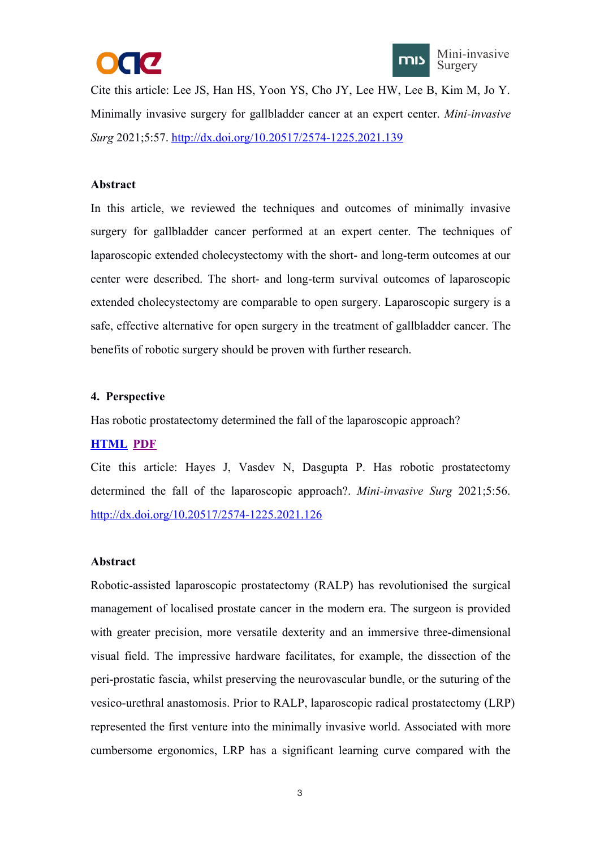



<span id="page-7-1"></span><span id="page-7-0"></span>Cite this article: Lee JS, Han HS, Yoon YS, Cho JY, Lee HW, Lee B, Kim M, Jo Y. Minimally invasive surgery for gallbladder cancer atan expert center. *Mini-invasive Surg* 2021;5:57. <http://dx.doi.org/10.20517/2574-1225.2021.139>

### **Abstract**

In this article, we reviewed the techniques and outcomes of minimally invasive surgery for gallbladder cancer performed at an expert center. The techniques of laparoscopic extended cholecystectomy with the short- and long-term outcomes at our center were described. The short- and long-term survival outcomes of laparoscopic extended cholecystectomy are comparable to open surgery. Laparoscopic surgery is a safe, effective alternative for open surgery in the treatment of gallbladder cancer. The benefits of robotic surgery should be proven with further research.

#### **4. Perspective**

Has robotic prostatectomy determined the fall of the laparoscopic approach?

## **[HTML](https://misjournal.net/article/view/4469) [PDF](https://oaepublishstorage.blob.core.windows.net/3e0be7a8-efd1-4872-afaa-bc797ab26ddf/4469.pdf)**

Cite this article: Hayes J, Vasdev N, Dasgupta P. Has robotic prostatectomy determined the fall of the laparoscopic approach?. *Mini-invasive Surg* 2021;5:56. <http://dx.doi.org/10.20517/2574-1225.2021.126>

#### **Abstract**

Robotic-assisted laparoscopic prostatectomy (RALP) has revolutionised the surgical management of localised prostate cancer in the modern era. The surgeon is provided with greater precision, more versatile dexterity and an immersive three-dimensional visual field. The impressive hardware facilitates, for example, the dissection of the peri-prostatic fascia, whilst preserving the neurovascular bundle, or the suturing of the vesico-urethral anastomosis. Prior to RALP, laparoscopic radical prostatectomy (LRP) represented the first venture into the minimally invasive world. Associated with more cumbersome ergonomics, LRP has a significant learning curve compared with the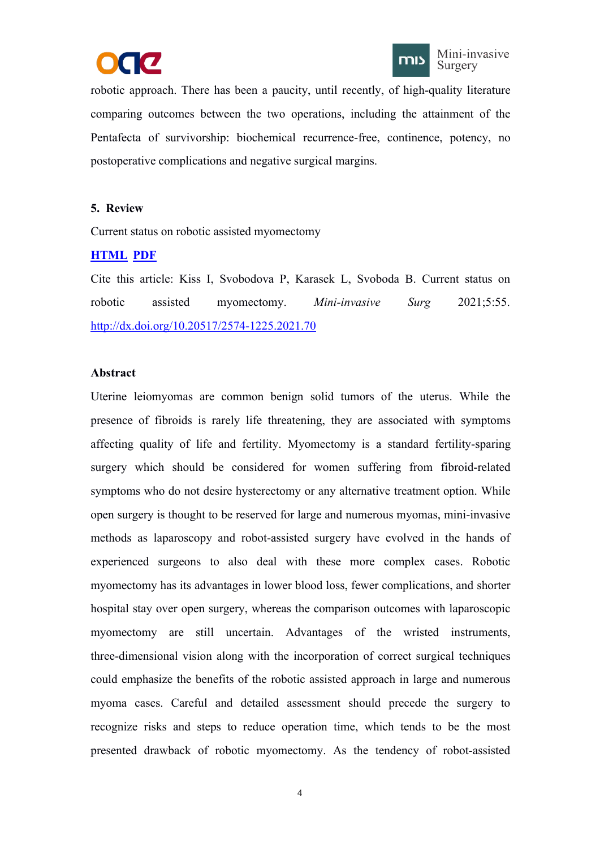



<span id="page-8-1"></span><span id="page-8-0"></span>robotic approach. There has been a paucity, until recently, of high-quality literature comparing outcomes between the two operations, including the attainment of the Pentafecta of survivorship: biochemical recurrence-free, continence, potency, no postoperative complications and negative surgical margins.

## **5. Review**

Current status on robotic assisted myomectomy

## **[HTML](https://misjournal.net/article/view/4441) [PDF](https://oaepublishstorage.blob.core.windows.net/6e701409-89b1-4238-a5a6-91759d4df286/4441.pdf)**

Cite this article: Kiss I, Svobodova P, Karasek L, Svoboda B. Current status on robotic assisted myomectomy. *Mini-invasive Surg* 2021;5:55. <http://dx.doi.org/10.20517/2574-1225.2021.70>

#### **Abstract**

Uterine leiomyomas are common benign solid tumors of the uterus. While the presence of fibroids is rarely life threatening, they are associated with symptoms affecting quality of life and fertility. Myomectomy is a standard fertility-sparing surgery which should be considered for women suffering from fibroid-related symptoms who do not desire hysterectomy or any alternative treatment option. While open surgery is thought to be reserved for large and numerous myomas, mini-invasive methods as laparoscopy and robot-assisted surgery have evolved in the hands of experienced surgeons to also deal with these more complex cases. Robotic myomectomy has its advantages in lower blood loss, fewer complications, and shorter hospital stay over open surgery, whereas the comparison outcomes with laparoscopic myomectomy are still uncertain. Advantages of the wristed instruments, three-dimensional vision along with the incorporation of correct surgical techniques could emphasize the benefits of the robotic assisted approach in large and numerous myoma cases. Careful and detailed assessment should precede the surgery to recognize risks and steps to reduce operation time, which tends to be the most presented drawback of robotic myomectomy. As the tendency of robot-assisted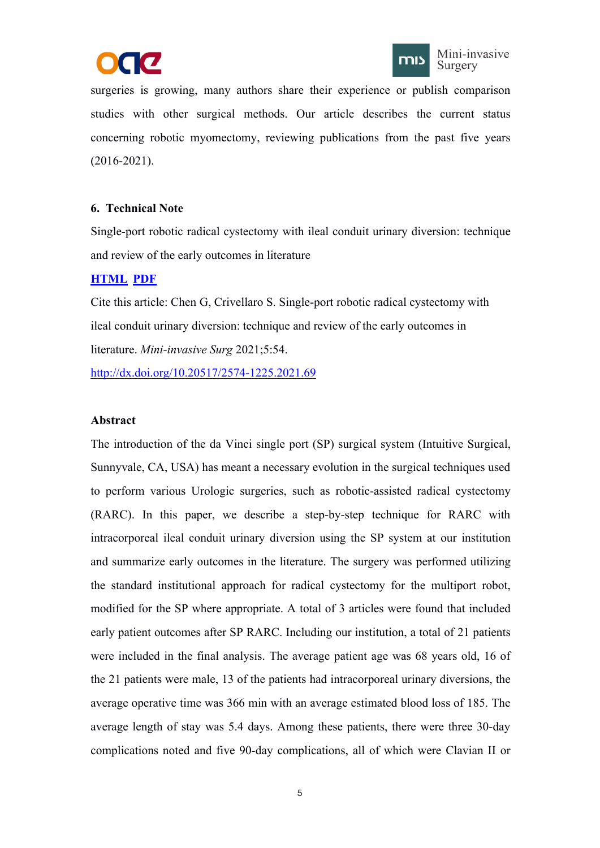



<span id="page-9-1"></span><span id="page-9-0"></span>surgeries is growing, many authors share their experience or publish comparison studies with other surgical methods. Our article describes the current status concerning robotic myomectomy, reviewing publications from the past five years (2016-2021).

## **6. Technical Note**

Single-port robotic radical cystectomy with ileal conduit urinary diversion: technique and review of the early outcomes in literature

# **[HTML](https://misjournal.net/article/view/4406) [PDF](https://oaepublishstorage.blob.core.windows.net/398275cf-c520-4ba4-88b3-a0c4a7d0c318/4406.pdf)**

Cite this article: Chen G, Crivellaro S. Single-port robotic radical cystectomy with ileal conduit urinary diversion: technique and review of the early outcomes in literature. *Mini-invasive Surg* 2021;5:54.

<http://dx.doi.org/10.20517/2574-1225.2021.69>

## **Abstract**

The introduction of the da Vinci single port (SP) surgical system (Intuitive Surgical, Sunnyvale, CA, USA) has meant a necessary evolution in the surgical techniques used to perform various Urologic surgeries, such as robotic-assisted radical cystectomy (RARC). In this paper, we describe a step-by-step technique for RARC with intracorporeal ileal conduit urinary diversion using the SP system at our institution and summarize early outcomes in the literature. The surgery was performed utilizing the standard institutional approach for radical cystectomy for the multiport robot, modified for the SP where appropriate. A total of 3 articles were found that included early patient outcomes after SP RARC. Including our institution, a total of 21 patients were included in the final analysis. The average patient age was 68 years old, 16 of the 21 patients were male, 13 of the patients had intracorporeal urinary diversions, the average operative time was 366 min with an average estimated blood loss of 185. The average length of stay was 5.4 days. Among these patients, there were three 30-day complications noted and five 90-day complications, all of which were Clavian II or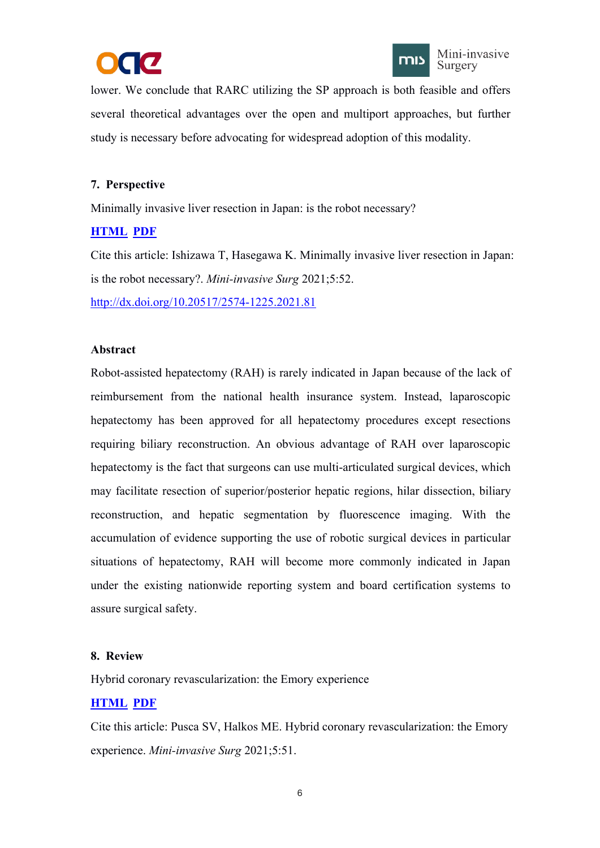



<span id="page-10-1"></span><span id="page-10-0"></span>lower. We conclude that RARC utilizing the SP approach is both feasible and offers several theoretical advantages over the open and multiport approaches, but further study is necessary before advocating for widespread adoption of this modality.

# **7. Perspective**

Minimally invasive liver resection in Japan: is the robot necessary?

## **[HTML](https://misjournal.net/article/view/4392) [PDF](https://oaepublishstorage.blob.core.windows.net/961e760e-0cec-4095-8477-b64e6f46e15d/4392.pdf)**

Cite this article: Ishizawa T, Hasegawa K. Minimally invasive liver resection in Japan: is the robot necessary?. *Mini-invasive Surg* 2021;5:52.

<http://dx.doi.org/10.20517/2574-1225.2021.81>

## **Abstract**

Robot-assisted hepatectomy (RAH) is rarely indicated in Japan because of the lack of reimbursement from the national health insurance system. Instead, laparoscopic hepatectomy has been approved for all hepatectomy procedures except resections requiring biliary reconstruction. An obvious advantage of RAH over laparoscopic hepatectomy is the fact that surgeons can use multi-articulated surgical devices, which may facilitate resection of superior/posterior hepatic regions, hilar dissection, biliary reconstruction, and hepatic segmentation by fluorescence imaging. With the accumulation of evidence supporting the use of robotic surgical devices in particular situations of hepatectomy, RAH will become more commonly indicated in Japan under the existing nationwide reporting system and board certification systems to assure surgical safety.

## **8. Review**

Hybrid coronary revascularization: the Emory experience

# **[HTML](https://misjournal.net/article/view/4213) [PDF](https://oaepublishstorage.blob.core.windows.net/6e394c1e-2f8c-478d-9be9-6cadcd97ca9e/4213.pdf)**

Cite this article: Pusca SV, Halkos ME. Hybrid coronary revascularization: the Emory experience. *Mini-invasive Surg* 2021;5:51.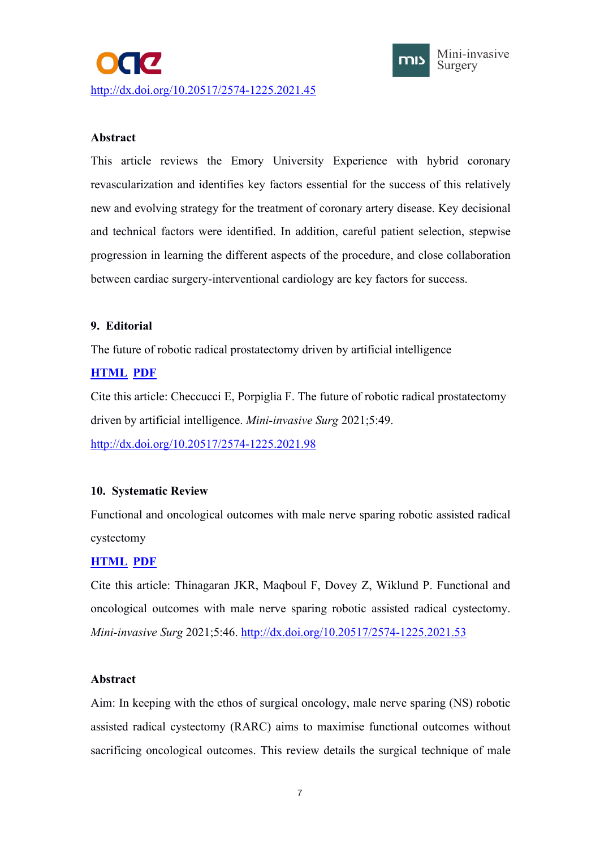<span id="page-11-2"></span><span id="page-11-1"></span><span id="page-11-0"></span>



## **Abstract**

This article reviews the Emory University Experience with hybrid coronary revascularization and identifies key factors essential for the success of this relatively new and evolving strategy for the treatment of coronary artery disease. Key decisional and technical factors were identified. In addition, careful patient selection, stepwise progression in learning the different aspects of the procedure, and close collaboration between cardiac surgery-interventional cardiology are key factors for success.

## **9. Editorial**

The future of robotic radical prostatectomy driven by artificial intelligence

# **[HTML](https://misjournal.net/article/view/4357) [PDF](https://oaepublishstorage.blob.core.windows.net/ccacb79b-16ed-4dc4-8770-74c552790411/4357.pdf)**

Cite this article: Checcucci E, Porpiglia F. The future of robotic radical prostatectomy driven by artificial intelligence. *Mini-invasive Surg* 2021;5:49. <http://dx.doi.org/10.20517/2574-1225.2021.98>

# **10. Systematic Review**

Functional and oncological outcomes with male nerve sparing robotic assisted radical cystectomy

# **[HTML](https://misjournal.net/article/view/4068) [PDF](https://oaepublishstorage.blob.core.windows.net/f8606f98-c99b-455c-bc6e-05aaafaf924e/4068.pdf)**

Cite this article: Thinagaran JKR, Maqboul F, Dovey Z, Wiklund P. Functional and oncological outcomes with male nerve sparing robotic assisted radical cystectomy. *Mini-invasive Surg* 2021;5:46. <http://dx.doi.org/10.20517/2574-1225.2021.53>

## **Abstract**

Aim: In keeping with the ethos of surgical oncology, male nerve sparing (NS) robotic assisted radical cystectomy (RARC) aims to maximise functional outcomes without sacrificing oncological outcomes. This review details the surgical technique of male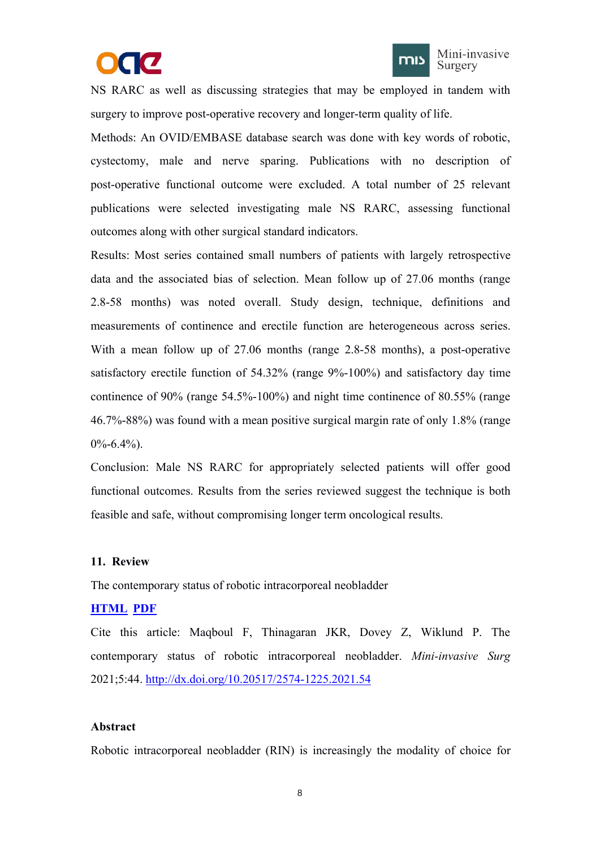



<span id="page-12-1"></span><span id="page-12-0"></span>NS RARC as well as discussing strategies that may be employed in tandem with surgery to improve post-operative recovery and longer-term quality of life.

Methods: An OVID/EMBASE database search was done with key words of robotic, cystectomy, male and nerve sparing. Publications with no description of post-operative functional outcome were excluded. A total number of 25 relevant publications were selected investigating male NS RARC, assessing functional outcomes along with other surgical standard indicators.

Results: Most series contained small numbers of patients with largely retrospective data and the associated bias of selection. Mean follow up of 27.06 months (range 2.8-58 months) was noted overall. Study design, technique, definitions and measurements of continence and erectile function are heterogeneous across series. With a mean follow up of 27.06 months (range 2.8-58 months), a post-operative satisfactory erectile function of 54.32% (range 9%-100%) and satisfactory day time continence of 90% (range 54.5%-100%) and night time continence of 80.55% (range 46.7%-88%) was found with a mean positive surgical margin rate of only 1.8% (range  $0\% - 6.4\%$ ).

Conclusion: Male NS RARC for appropriately selected patients will offer good functional outcomes. Results from the series reviewed suggest the technique is both feasible and safe, without compromising longer term oncological results.

#### **11. Review**

The contemporary status of robotic intracorporeal neobladder

## **[HTML](https://misjournal.net/article/view/4234) [PDF](https://oaepublishstorage.blob.core.windows.net/f6325eb0-9d65-496c-aa65-34f5b51e174b/4234.pdf)**

Cite this article: Maqboul F, Thinagaran JKR, Dovey Z, Wiklund P. The contemporary status of robotic intracorporeal neobladder. *Mini-invasive Surg* 2021;5:44. <http://dx.doi.org/10.20517/2574-1225.2021.54>

#### **Abstract**

Robotic intracorporeal neobladder (RIN) is increasingly the modality of choice for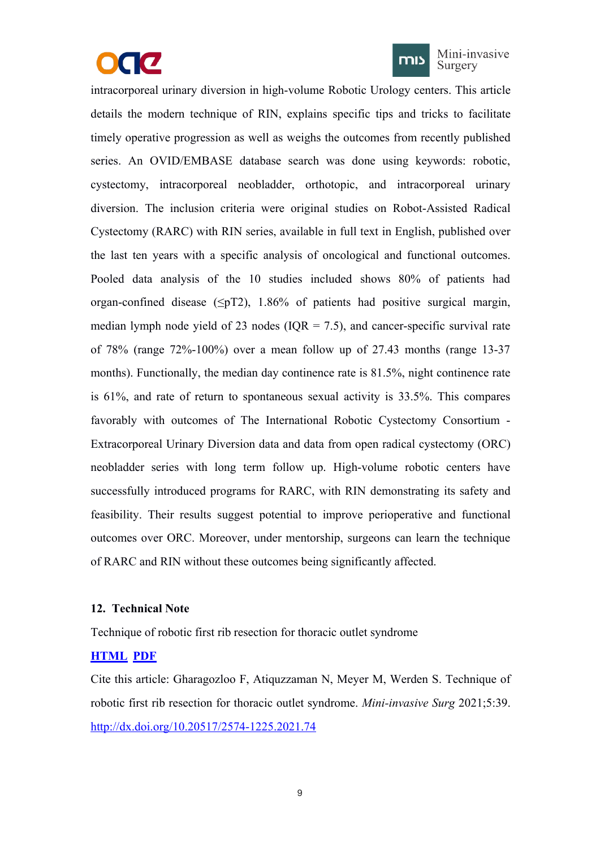



Mini-invasive Surgery

<span id="page-13-1"></span><span id="page-13-0"></span>intracorporeal urinary diversion in high-volume Robotic Urology centers. This article details the modern technique of RIN, explains specific tips and tricks to facilitate timely operative progression as well as weighs the outcomes from recently published series. An OVID/EMBASE database search was done using keywords: robotic, cystectomy, intracorporeal neobladder, orthotopic, and intracorporeal urinary diversion. The inclusion criteria were original studies on Robot-Assisted Radical Cystectomy (RARC) with RIN series, available in full text in English, published over the last ten years with a specific analysis of oncological and functional outcomes. Pooled data analysis of the 10 studies included shows 80% of patients had organ-confined disease ( $\leq pT2$ ), 1.86% of patients had positive surgical margin, median lymph node yield of 23 nodes  $(IOR = 7.5)$ , and cancer-specific survival rate of 78% (range 72%-100%) over a mean follow up of 27.43 months (range 13-37 months). Functionally, the median day continence rate is 81.5%, night continence rate is  $61\%$ , and rate of return to spontaneous sexual activity is  $33.5\%$ . This compares favorably with outcomes of The International Robotic Cystectomy Consortium - Extracorporeal Urinary Diversion data and data from open radical cystectomy (ORC) neobladder series with long term follow up. High-volume robotic centers have successfully introduced programs for RARC, with RIN demonstrating its safety and feasibility. Their results suggest potential to improve perioperative and functional outcomes over ORC. Moreover, under mentorship, surgeons can learn the technique of RARC and RIN without these outcomes being significantly affected.

## **12. Technical Note**

Technique of robotic first rib resection for thoracic outlet syndrome

## **[HTML](https://misjournal.net/article/view/4219) [PDF](https://oaepublishstorage.blob.core.windows.net/4e900941-5380-4cae-866e-c22757a8a0be/4219.pdf)**

Cite this article: Gharagozloo F, Atiquzzaman N, Meyer M, Werden S. Technique of robotic first rib resection for thoracic outlet syndrome. *Mini-invasive Surg* 2021;5:39. <http://dx.doi.org/10.20517/2574-1225.2021.74>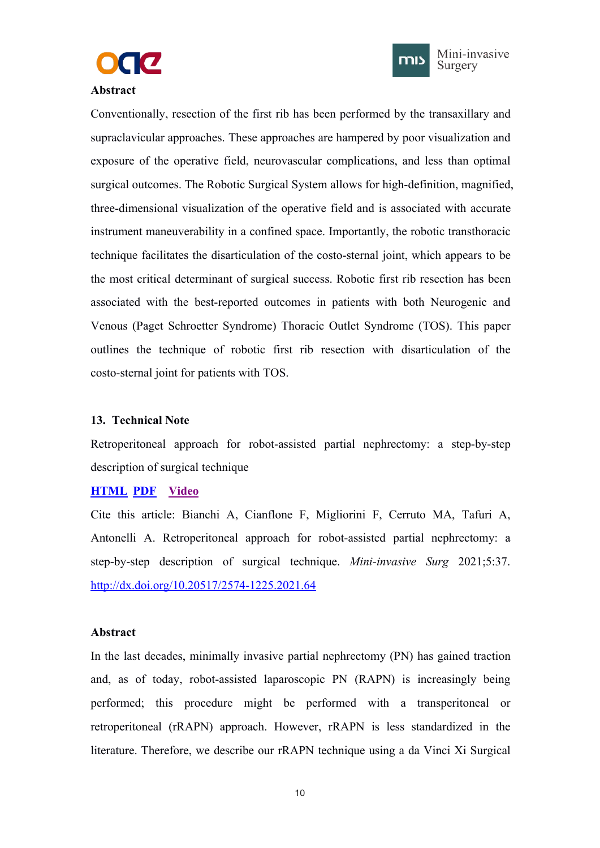



### <span id="page-14-1"></span><span id="page-14-0"></span>**Abstract**

Conventionally, resection of the first rib has been performed by the transaxillary and supraclavicular approaches. These approaches are hampered by poor visualization and exposure of the operative field, neurovascular complications, and less than optimal surgical outcomes. The Robotic Surgical System allows for high-definition, magnified, three-dimensional visualization of the operative field and is associated with accurate instrument maneuverability in a confined space. Importantly, the robotic transthoracic technique facilitates the disarticulation of the costo-sternal joint, which appears to be the most critical determinant of surgical success. Robotic first rib resection has been associated with the best-reported outcomes in patients with both Neurogenic and Venous (Paget Schroetter Syndrome) Thoracic Outlet Syndrome (TOS). This paper outlines the technique of robotic first rib resection with disarticulation of the costo-sternal joint for patients with TOS.

#### **13. Technical Note**

Retroperitoneal approach for robot-assisted partial nephrectomy: a step-by-step description of surgical technique

## **[HTML](https://misjournal.net/article/view/4166) [PDF](https://oaepublishstorage.blob.core.windows.net/306d1a60-465c-4808-99ca-b2571a5b4390/4166.pdf) [Video](https://misjournal.net/files/talkvideo/4166.mp4)**

Cite this article: Bianchi A, Cianflone F, Migliorini F, Cerruto MA, Tafuri A, Antonelli A. Retroperitoneal approach for robot-assisted partial nephrectomy: a step-by-step description of surgical technique. *Mini-invasive Surg* 2021;5:37. <http://dx.doi.org/10.20517/2574-1225.2021.64>

#### **Abstract**

In the last decades, minimally invasive partial nephrectomy (PN) has gained traction and, as of today, robot-assisted laparoscopic PN (RAPN) is increasingly being performed; this procedure might be performed with a transperitoneal or retroperitoneal (rRAPN) approach. However, rRAPN is less standardized in the literature. Therefore, we describe our rRAPN technique using a da Vinci Xi Surgical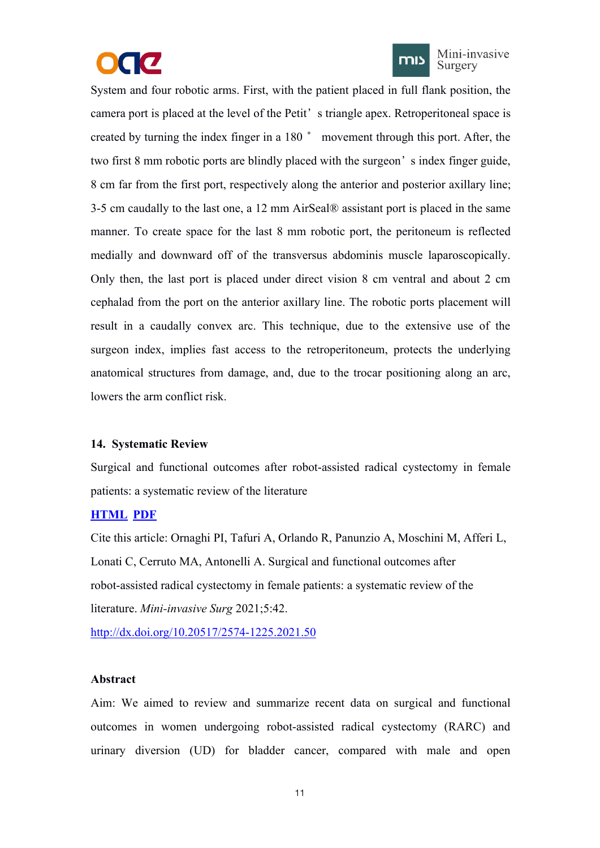



Mini-invasive Surgery

<span id="page-15-1"></span><span id="page-15-0"></span>System and four robotic arms. First, with the patient placed in full flank position, the camera port is placed at the level of the Petit's triangle apex. Retroperitoneal space is created by turning the index finger in a 180° movement through this port. After, the two first 8 mm robotic ports are blindly placed with the surgeon's index finger guide, 8 cm far from the first port, respectively along the anterior and posterior axillary line; 3-5 cm caudally to the last one,a 12 mm AirSeal® assistant port is placed in the same manner. To create space for the last 8 mm robotic port, the peritoneum is reflected medially and downward off of the transversus abdominis muscle laparoscopically. Only then, the last port is placed under direct vision 8 cm ventral and about 2 cm cephalad from the port on the anterior axillary line. The robotic ports placement will result in a caudally convex arc. This technique, due to the extensive use of the surgeon index, implies fast access to the retroperitoneum, protects the underlying anatomical structures from damage, and, due to the trocar positioning along an arc, lowers the arm conflict risk.

## **14. Systematic Review**

Surgical and functional outcomes after robot-assisted radical cystectomy in female patients: a systematic review of the literature

# **[HTML](https://misjournal.net/article/view/4165) [PDF](https://oaepublishstorage.blob.core.windows.net/11a51f9b-44b1-49dd-9a70-3fbf2952b07c/4165.pdf)**

Cite this article: Ornaghi PI, Tafuri A, Orlando R, Panunzio A, Moschini M, Afferi L, Lonati C, Cerruto MA, Antonelli A. Surgical and functional outcomes after robot-assisted radical cystectomy in female patients: a systematic review of the literature. *Mini-invasive Surg* 2021;5:42.

<http://dx.doi.org/10.20517/2574-1225.2021.50>

## **Abstract**

Aim: We aimed to review and summarize recent data on surgical and functional outcomes in women undergoing robot-assisted radical cystectomy (RARC) and urinary diversion (UD) for bladder cancer, compared with male and open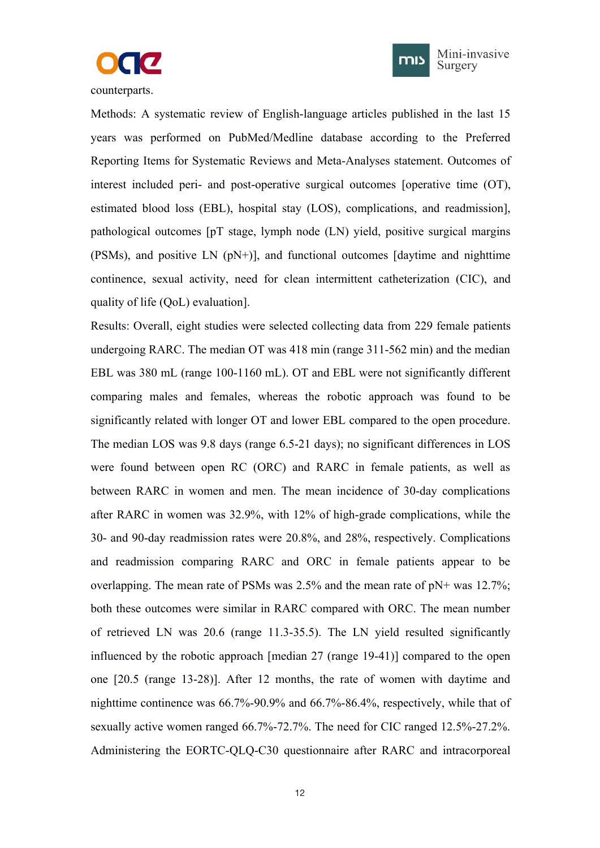



counterparts.

Methods: A systematic review of English-language articles published in the last 15 years was performed on PubMed/Medline database according to the Preferred Reporting Items for Systematic Reviews and Meta-Analyses statement. Outcomes of interest included peri- and post-operative surgical outcomes [operative time (OT), estimated blood loss (EBL), hospital stay (LOS), complications, and readmission], pathological outcomes [pT stage, lymph node (LN) yield, positive surgical margins (PSMs), and positive LN (pN+)], and functional outcomes [daytime and nighttime continence, sexual activity, need for clean intermittent catheterization (CIC), and quality of life (QoL) evaluation].

Results: Overall, eight studies were selected collecting data from 229 female patients undergoing RARC. The median OT was 418 min (range 311-562 min) and the median EBL was 380 mL (range 100-1160 mL). OT and EBL were not significantly different comparing males and females, whereas the robotic approach was found to be significantly related with longer OT and lower EBL compared to the open procedure. The median LOS was 9.8 days(range 6.5-21 days); no significant differences in LOS were found between open RC (ORC) and RARC in female patients, as well as between RARC in women and men. The mean incidence of 30-day complications after RARC in women was 32.9%, with 12% of high-grade complications, while the 30- and 90-day readmission rates were 20.8%, and 28%, respectively. Complications and readmission comparing RARC and ORC in female patients appear to be overlapping. The mean rate of PSMs was  $2.5\%$  and the mean rate of pN+ was 12.7%; both these outcomes were similar in RARC compared with ORC.The mean number of retrieved LN was 20.6 (range 11.3-35.5). The LN yield resulted significantly influenced by the robotic approach [median 27 (range 19-41)] compared to the open one [20.5 (range 13-28)]. After 12 months, the rate of women with daytime and nighttime continence was 66.7%-90.9% and 66.7%-86.4%, respectively, while that of sexually active women ranged 66.7%-72.7%. The need for CIC ranged 12.5%-27.2%. Administering the EORTC-QLQ-C30 questionnaire after RARC and intracorporeal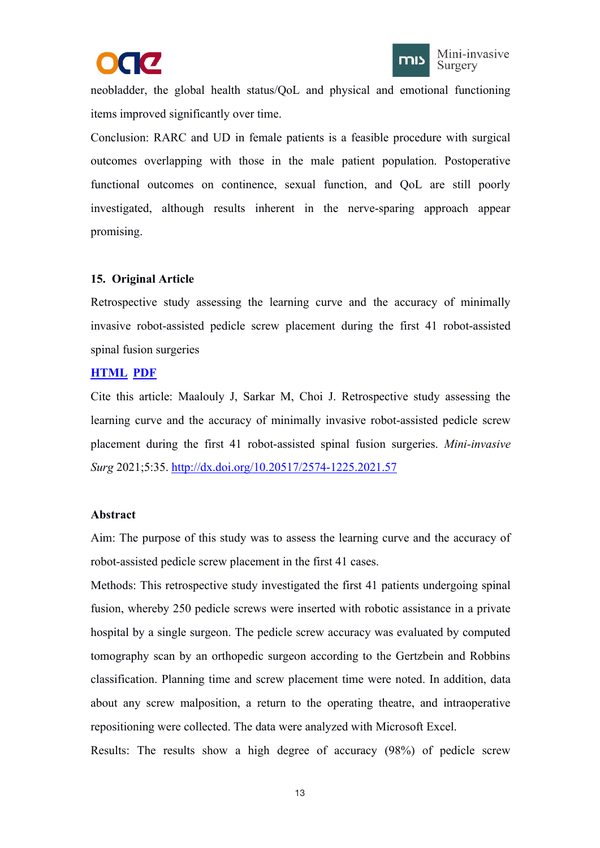



<span id="page-17-1"></span><span id="page-17-0"></span>neobladder, the global health status/QoL and physical and emotional functioning items improved significantly over time.

Conclusion: RARC and UD in female patients is a feasible procedure with surgical outcomes overlapping with those in the male patient population. Postoperative functional outcomes on continence, sexual function, and QoL are still poorly investigated, although results inherent in the nerve-sparing approach appear promising.

## **15. Original Article**

Retrospective study assessing the learning curve and the accuracy of minimally invasive robot-assisted pedicle screw placement during the first 41 robot-assisted spinal fusion surgeries

## **[HTML](https://misjournal.net/article/view/4140) [PDF](https://oaepublishstorage.blob.core.windows.net/714bda58-2a4f-408c-b4de-13d429ada601/4140.pdf)**

Cite this article: Maalouly J, Sarkar M,Choi J. Retrospective study assessing the learning curve and the accuracy of minimally invasive robot-assisted pedicle screw placement during the first 41 robot-assisted spinal fusion surgeries. *Mini-invasive Surg* 2021;5:35. <http://dx.doi.org/10.20517/2574-1225.2021.57>

## **Abstract**

Aim: The purpose of this study was to assess the learning curve and the accuracy of robot-assisted pedicle screw placement in the first 41 cases.

Methods: This retrospective study investigated the first 41 patients undergoing spinal fusion, whereby 250 pedicle screws were inserted with robotic assistance in a private hospital by a single surgeon. The pedicle screw accuracy was evaluated by computed tomography scan by an orthopedic surgeon according to the Gertzbein and Robbins classification. Planning time and screw placement time were noted. In addition, data about any screw malposition, a return to the operating theatre, and intraoperative repositioning were collected. The data were analyzed with Microsoft Excel.

Results: The results show a high degree of accuracy  $(98%)$  of pedicle screw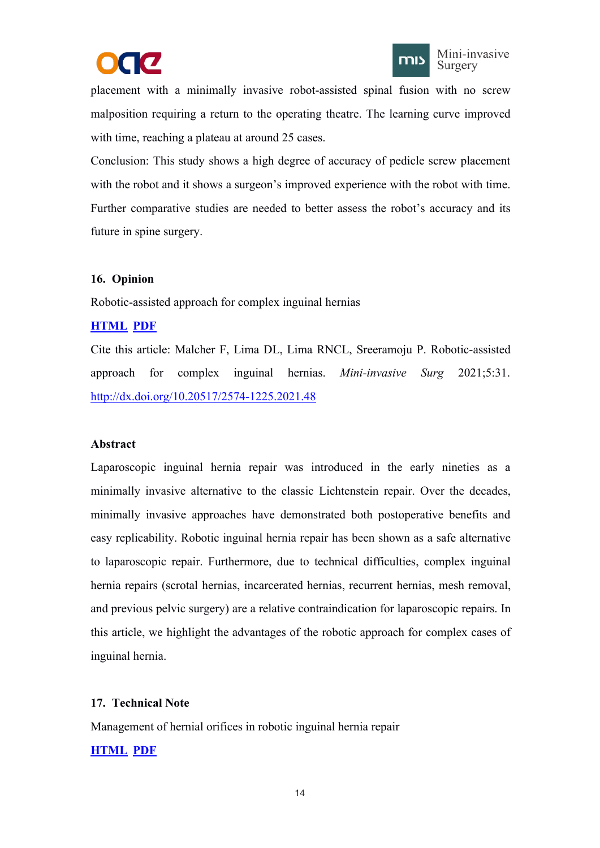



<span id="page-18-1"></span><span id="page-18-0"></span>placement with a minimally invasive robot-assisted spinal fusion with no screw malposition requiring a return to the operating theatre. The learning curve improved with time, reaching a plateau at around 25 cases.

Conclusion: This study shows a high degree of accuracy of pedicle screw placement with the robot and it shows a surgeon's improved experience with the robot with time. Further comparative studies are needed to better assess the robot's accuracy and its future in spine surgery.

## **16. Opinion**

Robotic-assisted approach for complex inguinal hernias

## **[HTML](https://misjournal.net/article/view/4152) [PDF](https://oaepublishstorage.blob.core.windows.net/a75b23a3-0137-4890-ab61-4717c416742b/4152.pdf)**

Cite this article: Malcher F, Lima DL, Lima RNCL, Sreeramoju P. Robotic-assisted approach for complex inguinal hernias. *Mini-invasive Surg* 2021;5:31. <http://dx.doi.org/10.20517/2574-1225.2021.48>

## **Abstract**

Laparoscopic inguinal hernia repair was introduced in the early nineties as a minimally invasive alternative to the classic Lichtenstein repair. Over the decades, minimally invasive approaches have demonstrated both postoperative benefits and easy replicability. Robotic inguinal hernia repair has been shown as a safe alternative to laparoscopic repair. Furthermore, due to technical difficulties, complex inguinal hernia repairs (scrotal hernias, incarcerated hernias, recurrent hernias, mesh removal, and previous pelvic surgery) are a relative contraindication for laparoscopic repairs. In this article, we highlight the advantages of the robotic approach for complex cases of inguinal hernia.

# **17. Technical Note**

Management of hernial orifices in robotic inguinal hernia repair

# **[HTML](https://misjournal.net/article/view/4100) [PDF](https://oaepublishstorage.blob.core.windows.net/cd9f16b3-5379-4e72-99e3-48db2bc098e4/4100.pdf)**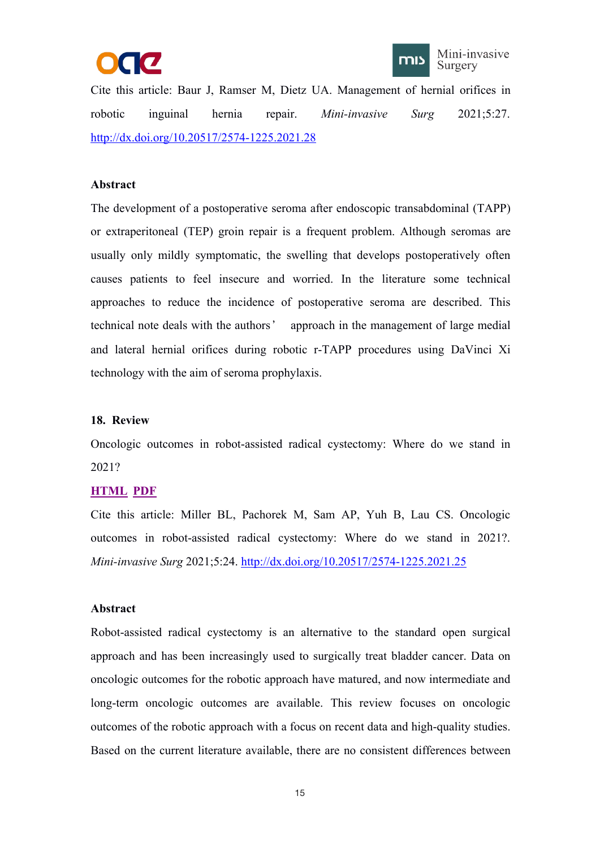



<span id="page-19-1"></span><span id="page-19-0"></span>Cite this article: Baur J, Ramser M, Dietz UA. Management of hernial orifices in robotic inguinal hernia repair. *Mini-invasive Surg* 2021;5:27. <http://dx.doi.org/10.20517/2574-1225.2021.28>

## **Abstract**

The development of a postoperative seroma after endoscopic transabdominal (TAPP) or extraperitoneal (TEP) groin repair is a frequent problem. Although seromas are usually only mildly symptomatic, the swelling that develops postoperatively often causes patients to feel insecure and worried. In the literature some technical approaches to reduce the incidence of postoperative seroma are described. This technical note deals with the authors' approach in the management of large medial and lateral hernial orifices during robotic r-TAPP procedures using DaVinci Xi technology with the aim of seroma prophylaxis.

#### **18. Review**

Oncologic outcomes in robot-assisted radical cystectomy: Where do we stand in 2021?

## **[HTML](https://misjournal.net/article/view/4029) [PDF](https://oaepublishstorage.blob.core.windows.net/6e56e17a-6b5d-4526-b10c-e36cb88a8fca/4029.pdf)**

Cite this article: Miller BL, Pachorek M, Sam AP, Yuh B, Lau CS. Oncologic outcomes in robot-assisted radical cystectomy: Where do we stand in 2021?.*Mini-invasive Surg* 2021;5:24. <http://dx.doi.org/10.20517/2574-1225.2021.25>

#### **Abstract**

Robot-assisted radical cystectomy is an alternative to the standard open surgical approach and has been increasingly used to surgically treat bladder cancer. Data on oncologic outcomes for the robotic approach have matured, and now intermediate and long-term oncologic outcomes are available. This review focuses on oncologic outcomes of the robotic approach with a focus on recent data and high-quality studies. Based on the current literature available, there are no consistent differences between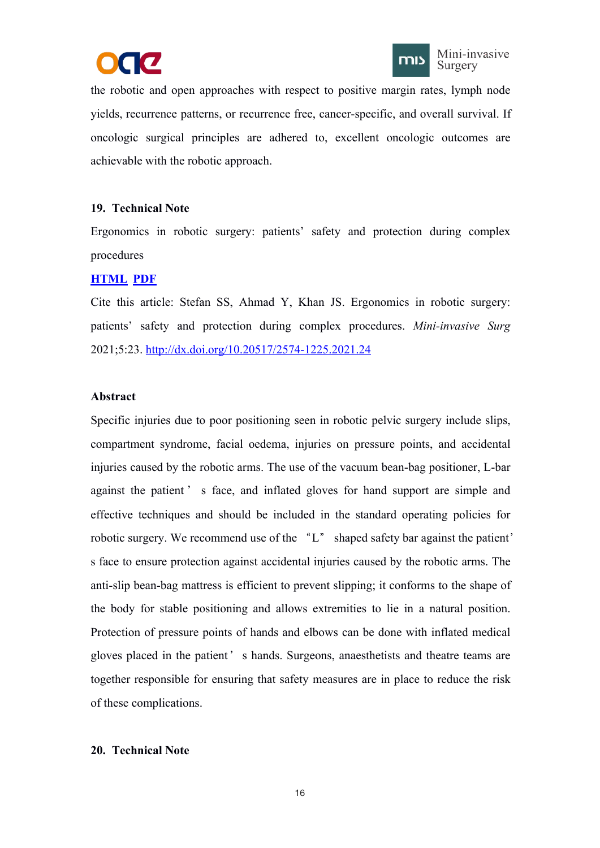



<span id="page-20-1"></span><span id="page-20-0"></span>the robotic and open approaches with respect to positive margin rates, lymph node yields, recurrence patterns, or recurrence free, cancer-specific, and overall survival. If oncologic surgical principles are adhered to, excellent oncologic outcomes are achievable with the robotic approach.

## **19. Technical Note**

Ergonomics in robotic surgery: patients' safety and protection during complex procedures

# **[HTML](https://misjournal.net/article/view/4028) [PDF](https://oaepublishstorage.blob.core.windows.net/51ee44ff-0cc3-4502-aacb-d3e7fc12a54a/4028.pdf)**

Cite this article: Stefan SS, Ahmad Y, Khan JS. Ergonomics in robotic surgery: patients' safety and protection during complex procedures. *Mini-invasive Surg* 2021;5:23. <http://dx.doi.org/10.20517/2574-1225.2021.24>

## **Abstract**

Specific injuries due to poor positioning seen in robotic pelvic surgery include slips, compartment syndrome, facial oedema, injuries on pressure points, and accidental injuries caused by the robotic arms. The use of the vacuum bean-bag positioner, L-bar against the patient ' s face, and inflated gloves for hand support are simple and effective techniques and should be included in the standard operating policies for robotic surgery. We recommend use of the "L" shaped safety bar against the patient' s face to ensure protection against accidental injuries caused by the robotic arms. The anti-slip bean-bag mattress is efficient to prevent slipping; it conforms to the shape of the body for stable positioning and allows extremities to lie in a natural position. Protection of pressure points of hands and elbows can be done with inflated medical gloves placed in the patient's hands. Surgeons, anaesthetists and theatre teams are together responsible for ensuring that safety measures are in place to reduce the risk of these complications.

## **20. Technical Note**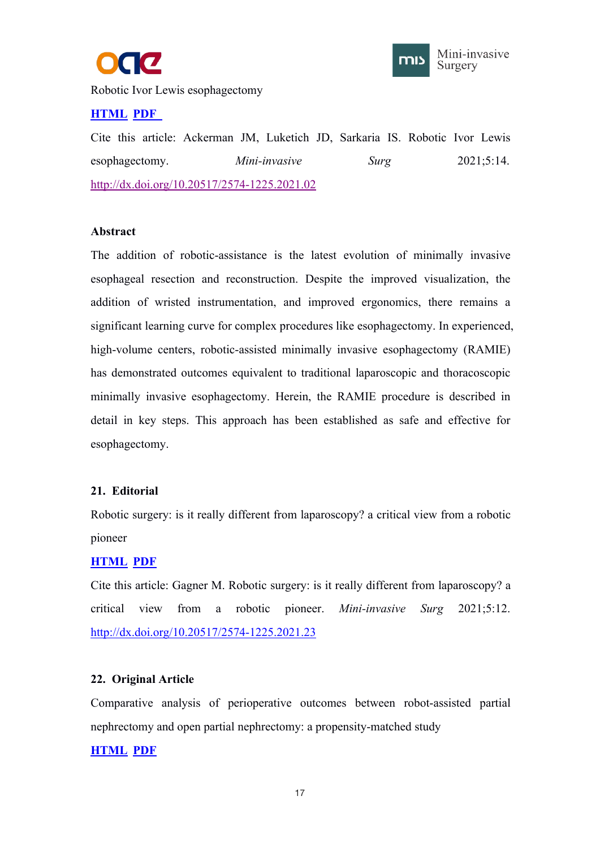



<span id="page-21-1"></span><span id="page-21-0"></span>Robotic Ivor Lewis esophagectomy

# **[HTML](https://misjournal.net/article/view/3979) [PDF](https://oaepublishstorage.blob.core.windows.net/c4439b27-e950-4f1b-be2c-0f716c1ee435/3979.pdf)**

Cite this article: Ackerman JM, Luketich JD, Sarkaria IS. Robotic Ivor Lewis esophagectomy. *Mini-invasive Surg* 2021;5:14. <http://dx.doi.org/10.20517/2574-1225.2021.02>

## **Abstract**

The addition of robotic-assistance is the latest evolution of minimally invasive esophageal resection and reconstruction. Despite the improved visualization, the addition of wristed instrumentation, and improved ergonomics, there remains a significant learning curve for complex procedures like esophagectomy. In experienced, high-volume centers, robotic-assisted minimally invasive esophagectomy (RAMIE) has demonstrated outcomes equivalent to traditional laparoscopic and thoracoscopic minimally invasive esophagectomy. Herein, the RAMIE procedure is described in detail in key steps. This approach has been established as safe and effective for esophagectomy.

## **21. Editorial**

Robotic surgery: is it really different from laparoscopy? a critical view from a robotic pioneer

# **[HTML](https://misjournal.net/article/view/3936) [PDF](https://oaepublishstorage.blob.core.windows.net/c4439b27-e950-4f1b-be2c-0f716c1ee435/3979.pdf)**

Cite this article: Gagner M. Robotic surgery: is it really different from laparoscopy? a critical view from a robotic pioneer. *Mini-invasive Surg* 2021;5:12. <http://dx.doi.org/10.20517/2574-1225.2021.23>

# **22. Original Article**

Comparative analysis of perioperative outcomes between robot-assisted partial nephrectomy and open partial nephrectomy: a propensity-matched study

## **[HTML](https://misjournal.net/article/view/3901) [PDF](https://oaepublishstorage.blob.core.windows.net/875cef11-83a4-42fc-97cd-479810afcc44/3901.pdf)**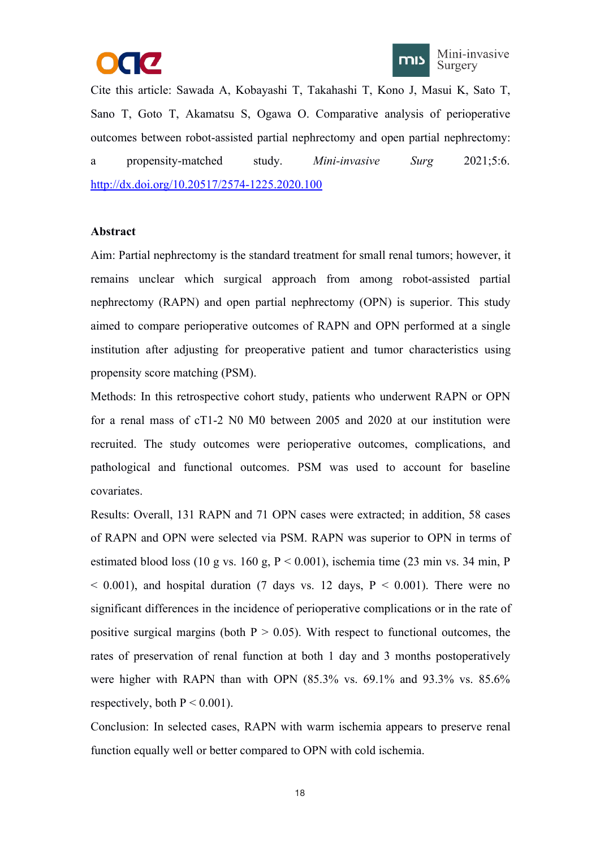



Cite this article: Sawada A, Kobayashi T, Takahashi T, Kono J, Masui K, Sato T, Sano T, Goto T, Akamatsu S, Ogawa O. Comparative analysis of perioperative outcomes between robot-assisted partial nephrectomy and open partial nephrectomy: a propensity-matched study. *Mini-invasive Surg* 2021;5:6. <http://dx.doi.org/10.20517/2574-1225.2020.100>

#### **Abstract**

Aim: Partial nephrectomy is the standard treatment for small renal tumors; however, it remains unclear which surgical approach from among robot-assisted partial nephrectomy (RAPN) and open partial nephrectomy (OPN) is superior. This study aimed to compare perioperative outcomes of RAPN and OPN performed at a single institution after adjusting for preoperative patient and tumor characteristics using propensity score matching (PSM).

Methods: In this retrospective cohort study, patients who underwent RAPN or OPN for a renal mass of cT1-2 N0 M0 between 2005 and 2020 at our institution were recruited. The study outcomes were perioperative outcomes, complications, and pathological and functional outcomes. PSM was used to account for baseline covariates.

Results: Overall, 131 RAPN and 71 OPN cases were extracted; in addition, 58 cases of RAPN and OPN were selected via PSM. RAPN was superior to OPN in terms of estimated blood loss (10 g vs. 160 g,  $P < 0.001$ ), ischemia time (23 min vs. 34 min, P  $\leq$  0.001), and hospital duration (7 days vs. 12 days, P  $\leq$  0.001). There were no significant differences in the incidence of perioperative complications or in the rate of positive surgical margins (both  $P > 0.05$ ). With respect to functional outcomes, the rates of preservation of renal function at both 1 day and 3 months postoperatively were higher with RAPN than with OPN (85.3% vs. 69.1% and 93.3% vs. 85.6% respectively, both  $P < 0.001$ ).<br>Conclusion: In selected cases, RAPN with warm ischemia appears to preserve renal

function equally well or better compared to OPN with cold ischemia.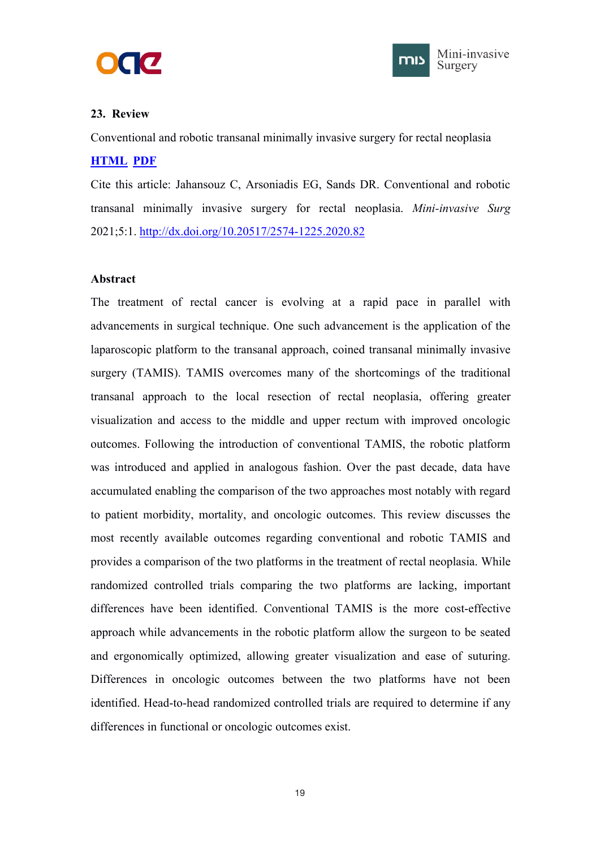



## <span id="page-23-1"></span><span id="page-23-0"></span>**23. Review**

Conventional and robotic transanal minimally invasive surgery for rectal neoplasia

## **[HTML](https://misjournal.net/article/view/3857) [PDF](https://oaepublishstorage.blob.core.windows.net/6cdbfb0f-61d1-4c4f-9695-864c19e8f9d4/3857.pdf)**

Cite this article: Jahansouz C, Arsoniadis EG, Sands DR. Conventional and robotic transanal minimally invasive surgery for rectal neoplasia. *Mini-invasive Surg* 2021;5:1. <http://dx.doi.org/10.20517/2574-1225.2020.82>

## **Abstract**

The treatment of rectal cancer is evolving at a rapid pace in parallel with advancements in surgical technique. One such advancement is the application of the laparoscopic platform to the transanal approach, coined transanal minimally invasive surgery (TAMIS). TAMIS overcomes many of the shortcomings of the traditional transanal approach to the local resection of rectal neoplasia, offering greater visualization and access to the middle and upper rectum with improved oncologic outcomes. Following the introduction of conventional TAMIS, the robotic platform was introduced and applied in analogous fashion. Over the past decade, data have accumulated enabling the comparison of the two approaches most notably with regard to patient morbidity, mortality, and oncologic outcomes. This review discusses the most recently available outcomes regarding conventional and robotic TAMIS and provides a comparison of the two platforms in the treatment of rectal neoplasia. While randomized controlled trials comparing the two platforms are lacking, important differences have been identified. Conventional TAMIS is the more cost-effective approach while advancements in the robotic platform allow the surgeon to be seated and ergonomically optimized, allowing greater visualization and ease of suturing. Differences in oncologic outcomes between the two platforms have not been identified. Head-to-head randomized controlled trials are required to determine if any differences in functional or oncologic outcomes exist.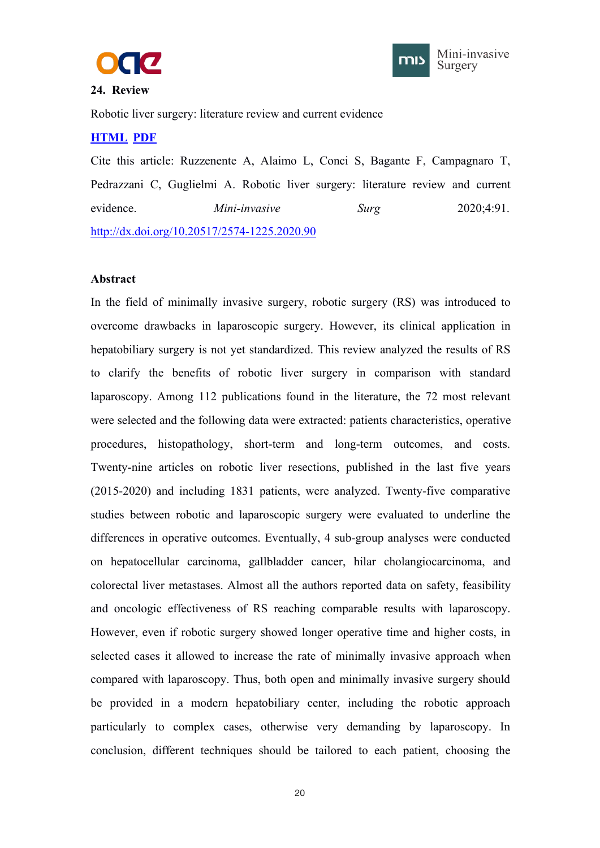



### <span id="page-24-1"></span><span id="page-24-0"></span>**24. Review**

Robotic liver surgery: literature review and current evidence

# **[HTML](https://misjournal.net/article/view/3823) [PDF](https://oaepublishstorage.blob.core.windows.net/35bb694a-9ce4-4408-8ecb-bb5a386ca34a/3823.pdf)**

Cite this article: Ruzzenente A, Alaimo L, Conci S, Bagante F, Campagnaro T, Pedrazzani C, Guglielmi A. Robotic liver surgery: literature review and current evidence. *Mini-invasive Surg* 2020;4:91. <http://dx.doi.org/10.20517/2574-1225.2020.90>

#### **Abstract**

In the field of minimally invasive surgery, robotic surgery (RS) was introduced to overcome drawbacks in laparoscopic surgery. However, its clinical application in hepatobiliary surgery is not yet standardized. This review analyzed the results of RS to clarify the benefits of robotic liver surgery in comparison with standard laparoscopy. Among 112 publications found in the literature, the 72 most relevant were selected and the following data were extracted: patients characteristics, operative procedures, histopathology, short-term and long-term outcomes, and costs. Twenty-nine articles on robotic liver resections, published in the last five years (2015-2020) and including 1831 patients, were analyzed. Twenty-five comparative studies between robotic and laparoscopic surgery were evaluated to underline the differences in operative outcomes. Eventually, 4 sub-group analyses were conducted on hepatocellular carcinoma, gallbladder cancer, hilar cholangiocarcinoma, and colorectal liver metastases. Almost all the authors reported data on safety, feasibility and oncologic effectiveness of RS reaching comparable results with laparoscopy. However, even if robotic surgery showed longer operative time and higher costs, in selected cases it allowed to increase the rate of minimally invasive approach when compared with laparoscopy. Thus, both open and minimally invasive surgery should be provided in a modern hepatobiliary center, including the robotic approach particularly to complex cases, otherwise very demanding by laparoscopy. In conclusion, different techniques should be tailored to each patient, choosing the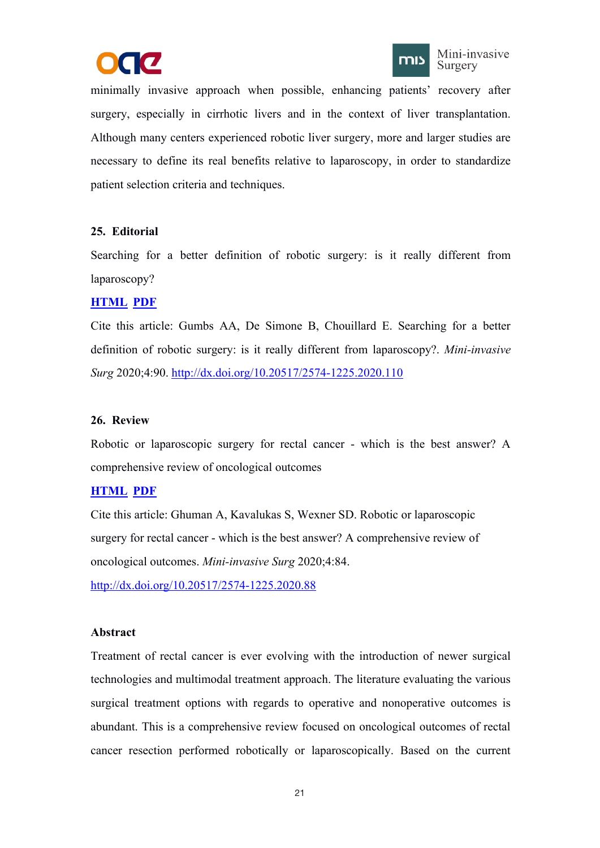



<span id="page-25-1"></span><span id="page-25-0"></span>minimally invasive approach when possible, enhancing patients' recovery after surgery, especially in cirrhotic livers and in the context of liver transplantation. Although many centers experienced robotic liver surgery, more and larger studies are necessary to define its real benefits relative to laparoscopy, in order to standardize patient selection criteria and techniques.

## **25. Editorial**

Searching for a better definition of robotic surgery: is it really different from laparoscopy?

# **[HTML](https://misjournal.net/article/view/3812) [PDF](https://oaepublishstorage.blob.core.windows.net/31f23ae2-f327-4b9d-973a-7d09159a191c/3812.pdf)**

Cite this article: Gumbs AA, De Simone B, Chouillard E. Searching for a better definition of robotic surgery: is it really different from laparoscopy?. *Mini-invasive Surg* 2020;4:90. <http://dx.doi.org/10.20517/2574-1225.2020.110>

## **26. Review**

Robotic or laparoscopic surgery for rectal cancer - which is the best answer? A comprehensive review of oncological outcomes

# **[HTML](https://misjournal.net/article/view/3776) [PDF](https://oaepublishstorage.blob.core.windows.net/8407140a-3cd4-4849-815a-22081eec3b9c/3776.pdf)**

Cite this article: Ghuman A, Kavalukas S, Wexner SD. Robotic or laparoscopic surgery for rectal cancer - which is the best answer? A comprehensive review of oncological outcomes. *Mini-invasive Surg* 2020;4:84.

<http://dx.doi.org/10.20517/2574-1225.2020.88>

# **Abstract**

Treatment of rectal cancer is ever evolving with the introduction of newer surgical technologies and multimodal treatment approach. The literature evaluating the various surgical treatment options with regards to operative and nonoperative outcomes is abundant. This is a comprehensive review focused on oncological outcomes of rectal cancer resection performed robotically or laparoscopically. Based on the current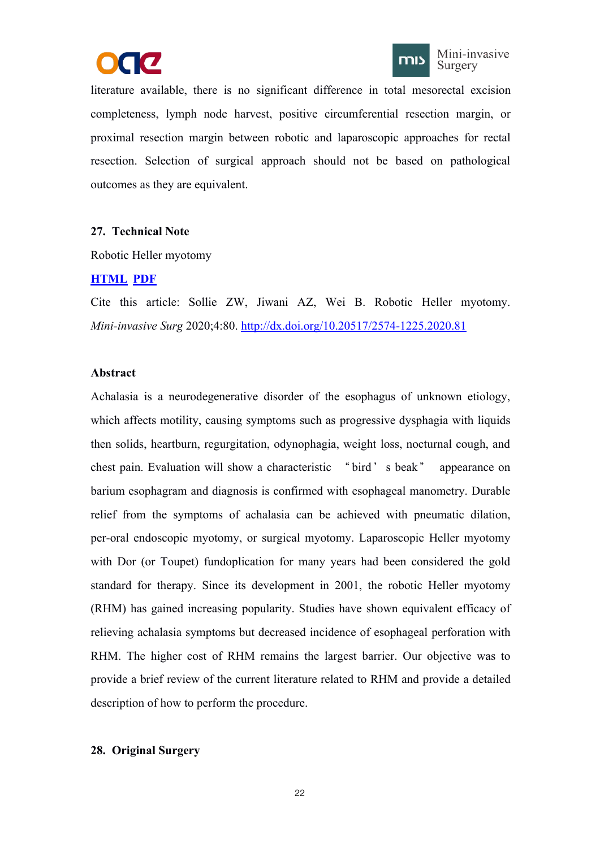



<span id="page-26-1"></span><span id="page-26-0"></span>literature available, there is no significant difference in total mesorectal excision completeness, lymph node harvest, positive circumferential resection margin, or proximal resection margin between robotic and laparoscopic approaches for rectal resection. Selection of surgical approach should not be based on pathological outcomes as they are equivalent.

## **27. Technical Note**

Robotic Heller myotomy

# **[HTML](https://misjournal.net/article/view/3754) [PDF](https://oaepublishstorage.blob.core.windows.net/afda8a66-6d73-4755-800d-f250aae257b3/3754.pdf)**

Cite this article: Sollie ZW, Jiwani AZ, Wei B. Robotic Heller myotomy. *Mini-invasive Surg* 2020;4:80. <http://dx.doi.org/10.20517/2574-1225.2020.81>

## **Abstract**

Achalasia is a neurodegenerative disorder of the esophagus of unknown etiology, which affects motility, causing symptoms such as progressive dysphagia with liquids then solids, heartburn, regurgitation, odynophagia, weight loss, nocturnal cough, and chest pain. Evaluation will show a characteristic "bird's beak" appearance on barium esophagram and diagnosis is confirmed with esophageal manometry. Durable relief from the symptoms of achalasia can be achieved with pneumatic dilation, per-oral endoscopic myotomy, or surgical myotomy. Laparoscopic Heller myotomy with Dor (or Toupet) fundoplication for many years had been considered the gold standard for therapy. Since its development in 2001, the robotic Heller myotomy (RHM) has gained increasing popularity. Studies have shown equivalent efficacy of relieving achalasia symptoms but decreased incidence of esophageal perforation with RHM. The higher cost of RHM remains the largest barrier. Our objective was to provide a brief review of the current literature related to RHM and provide a detailed description of how to perform the procedure.

## **28. Original Surgery**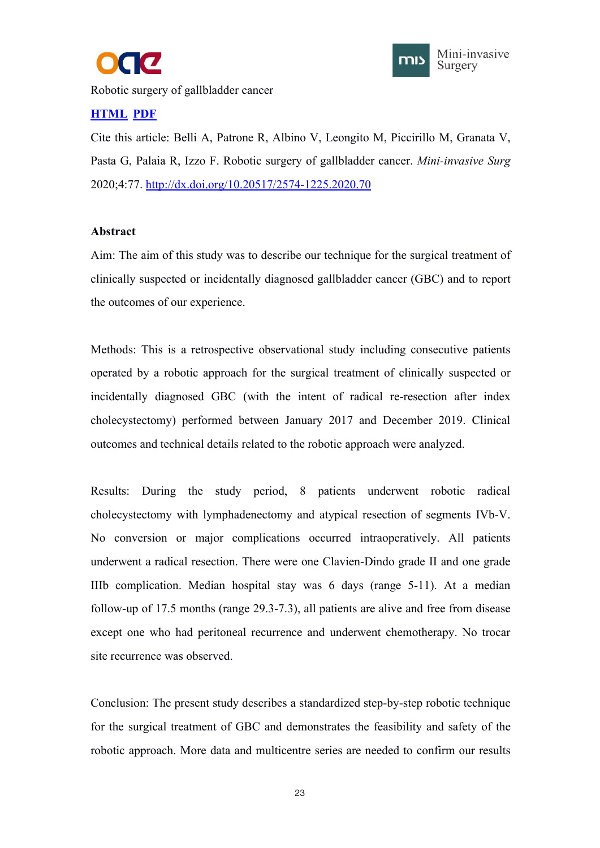



<span id="page-27-0"></span>Robotic surgery of gallbladder cancer

# **[HTML](https://misjournal.net/article/view/3751) [PDF](https://oaepublishstorage.blob.core.windows.net/9d95761b-7a80-43dc-88ca-8566e239448c/3751.pdf)**

Cite this article: Belli A, Patrone R, Albino V, Leongito M, Piccirillo M, Granata V, Pasta G, Palaia R, Izzo F. Robotic surgery of gallbladder cancer. *Mini-invasive Surg* 2020;4:77. <http://dx.doi.org/10.20517/2574-1225.2020.70>

## **Abstract**

Aim: The aim of this study was to describe our technique for the surgical treatment of clinically suspected or incidentally diagnosed gallbladder cancer (GBC) and to report the outcomes of our experience.

Methods: This is a retrospective observational study including consecutive patients operated by a robotic approach for the surgical treatment of clinically suspected or incidentally diagnosed GBC (with the intent of radical re-resection after index cholecystectomy) performed between January 2017 and December 2019. Clinical outcomes and technical details related to the robotic approach were analyzed.

Results: During the study period, 8 patients underwent robotic radical cholecystectomy with lymphadenectomy and atypical resection of segments IVb-V. No conversion or major complications occurred intraoperatively. All patients underwent a radical resection. There were one Clavien-Dindo grade II and one grade IIIb complication. Median hospital stay was6 days (range 5-11). At a median follow-up of 17.5 months (range 29.3-7.3), all patients are alive and free from disease except one who had peritoneal recurrence and underwent chemotherapy. No trocar site recurrence was observed.

Conclusion: The present study describes a standardized step-by-step robotic technique for the surgical treatment of GBC and demonstrates the feasibility and safety of the robotic approach. More data and multicentre series are needed to confirm our results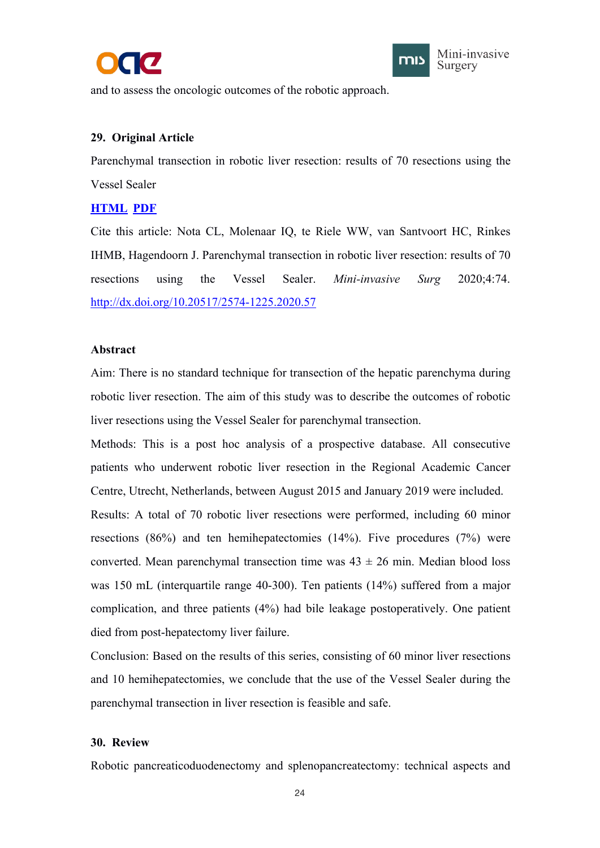



<span id="page-28-1"></span><span id="page-28-0"></span>and to assess the oncologic outcomes of the robotic approach.

# **29. Original Article**

Parenchymal transection in robotic liver resection: results of 70 resections using the Vessel Sealer

## **[HTML](Abstract
Aim: There is no standard technique for transection of the hepatic parenchyma during robotic liver resection. The aim of this study was to describe the outcomes of robotic liver resections using the Vessel Sealer for parenchymal transection.

M) [PDF](https://oaepublishstorage.blob.core.windows.net/b2a83ed8-e2a5-497c-ac3e-574d02c76301/3748.pdf)**

Cite this article: Nota CL, Molenaar IQ, te Riele WW, van Santvoort HC, Rinkes IHMB, Hagendoorn J. Parenchymal transection in robotic liver resection: results of 70 resections using the Vessel Sealer. *Mini-invasive Surg* 2020;4:74. <http://dx.doi.org/10.20517/2574-1225.2020.57>

## **Abstract**

Aim: There is no standard technique for transection of the hepatic parenchyma during robotic liver resection. The aim of this study was to describe the outcomes of robotic liver resections using the Vessel Sealer for parenchymal transection.

Methods: This is a post hoc analysis of a prospective database. All consecutive patients who underwent robotic liver resection in the Regional Academic Cancer Centre, Utrecht, Netherlands, between August 2015 and January 2019 were included. Results: A total of 70 robotic liver resections were performed, including 60 minor resections (86%) and ten hemihepatectomies (14%). Five procedures (7%) were converted. Mean parenchymal transection time was  $43 \pm 26$  min. Median blood loss was 150 mL (interquartile range 40-300). Ten patients (14%) suffered from a major complication, and three patients (4%) had bile leakage postoperatively. One patient died from post-hepatectomy liver failure.

Conclusion: Based on the results of this series, consisting of 60 minor liver resections and 10 hemihepatectomies, we conclude that the use of the Vessel Sealer during the parenchymal transection in liver resection is feasible and safe.

## **30. Review**

Robotic pancreaticoduodenectomy and splenopancreatectomy: technical aspects and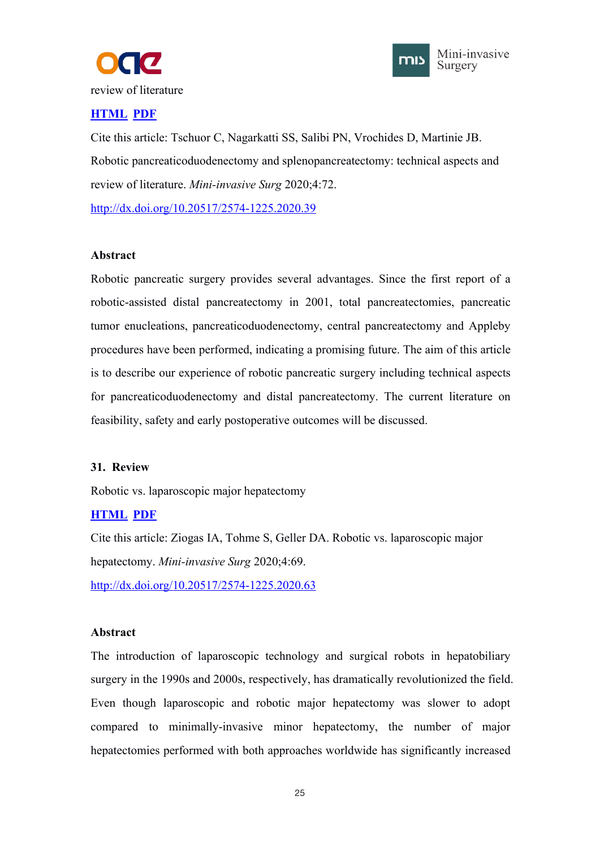



# <span id="page-29-1"></span><span id="page-29-0"></span>**[HTML](https://misjournal.net/article/view/3718) [PDF](https://oaepublishstorage.blob.core.windows.net/304152a0-e013-4e3e-a81b-218b9ddfa74d/3718.pdf)**

Cite this article: Tschuor C, Nagarkatti SS, Salibi PN, Vrochides D, Martinie JB. Robotic pancreaticoduodenectomy and splenopancreatectomy: technical aspects and review of literature. *Mini-invasive Surg* 2020;4:72.

<http://dx.doi.org/10.20517/2574-1225.2020.39>

## **Abstract**

Robotic pancreatic surgery provides several advantages. Since the first report of a robotic-assisted distal pancreatectomy in 2001, total pancreatectomies, pancreatic tumor enucleations, pancreaticoduodenectomy, central pancreatectomy and Appleby procedures have been performed, indicating a promising future. The aim of this article is to describe our experience of robotic pancreatic surgery including technical aspects for pancreaticoduodenectomy and distal pancreatectomy. The current literature on feasibility, safety and early postoperative outcomes will be discussed.

# **31. Review**

Robotic vs. laparoscopic major hepatectomy

# **[HTML](https://misjournal.net/article/view/3705) [PDF](https://oaepublishstorage.blob.core.windows.net/2ea71e84-ba1e-4b78-a4d3-c37482333b37/3705.pdf)**

Cite this article: Ziogas IA, Tohme S, Geller DA. Robotic vs. laparoscopic major hepatectomy. *Mini-invasive Surg* 2020;4:69. <http://dx.doi.org/10.20517/2574-1225.2020.63>

## **Abstract**

The introduction of laparoscopic technology and surgical robots in hepatobiliary surgery in the 1990s and 2000s, respectively, has dramatically revolutionized the field. Even though laparoscopic and robotic major hepatectomy was slower to adopt compared to minimally-invasive minor hepatectomy, the number of major hepatectomies performed with both approaches worldwide has significantly increased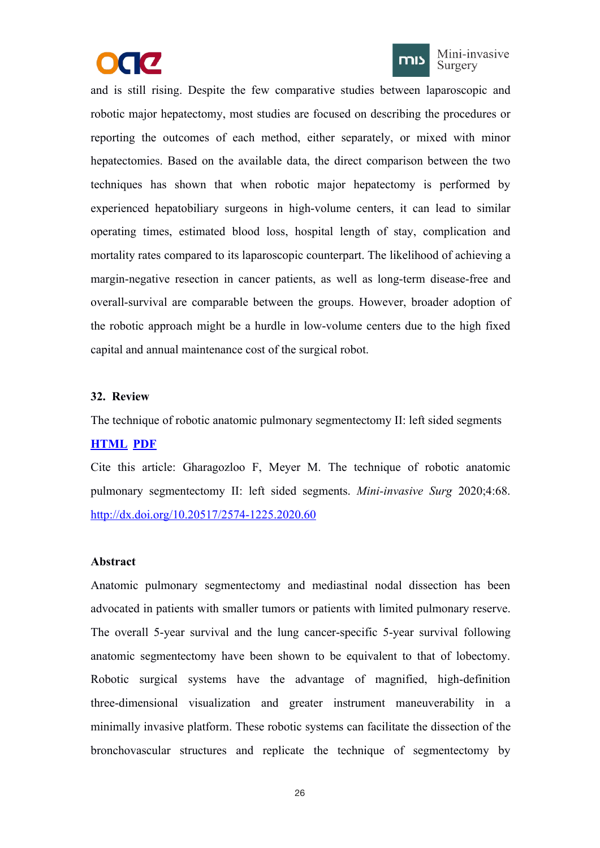



Mini-invasive Surgery

<span id="page-30-1"></span><span id="page-30-0"></span>and is still rising. Despite the few comparative studies between laparoscopic and robotic major hepatectomy, most studies are focused on describing the procedures or reporting the outcomes of each method, either separately, or mixed with minor hepatectomies. Based on the available data, the direct comparison between the two techniques has shown that when robotic major hepatectomy is performed by experienced hepatobiliary surgeons in high-volume centers, it can lead to similar operating times, estimated blood loss, hospital length of stay, complication and mortality rates compared to its laparoscopic counterpart. The likelihood of achieving a margin-negative resection in cancer patients, as well as long-term disease-free and overall-survival are comparable between the groups. However, broader adoption of the robotic approach might be a hurdle in low-volume centers due to the high fixed capital and annual maintenance cost of the surgical robot.

#### **32. Review**

The technique of robotic anatomic pulmonary segmentectomy II: left sided segments

## **[HTML](https://misjournal.net/article/view/3704) [PDF](https://oaepublishstorage.blob.core.windows.net/26fa98ea-081b-447a-ada7-e68dc1d12e47/3704.pdf)**

Cite this article: Gharagozloo F, Meyer M. The technique of robotic anatomic pulmonary segmentectomy II: left sided segments. *Mini-invasive Surg* 2020;4:68. <http://dx.doi.org/10.20517/2574-1225.2020.60>

#### **Abstract**

Anatomic pulmonary segmentectomy and mediastinal nodal dissection has been advocated in patients with smaller tumors or patients with limited pulmonary reserve. The overall 5-year survival and the lung cancer-specific 5-year survival following anatomic segmentectomy have been shown to be equivalent to that of lobectomy. Robotic surgical systems have the advantage of magnified, high-definition three-dimensional visualization and greater instrument maneuverability in a minimally invasive platform. These robotic systems can facilitate the dissection of the bronchovascular structures and replicate the technique of segmentectomy by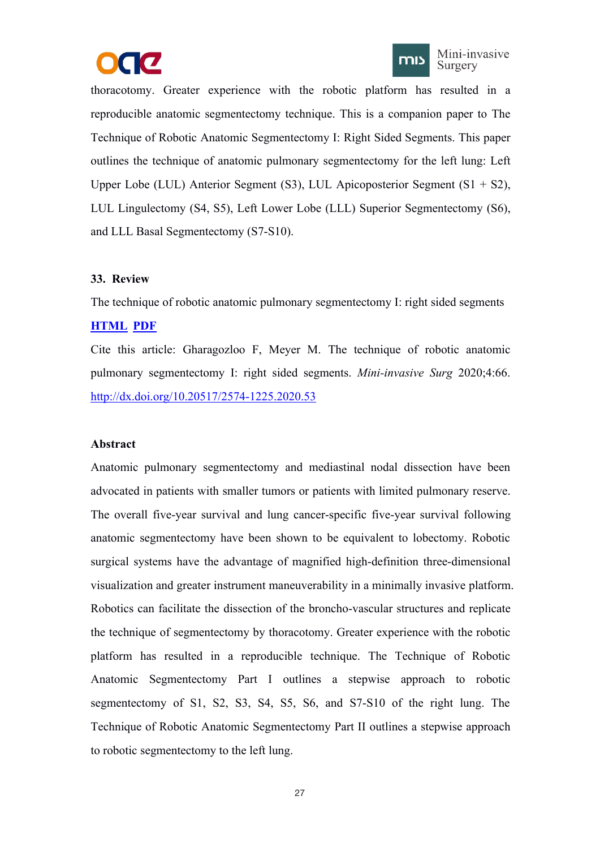



<span id="page-31-1"></span><span id="page-31-0"></span>thoracotomy. Greater experience with the robotic platform has resulted in a reproducible anatomic segmentectomy technique. This is a companion paper to The Technique of Robotic Anatomic Segmentectomy I: Right Sided Segments. This paper outlines the technique of anatomic pulmonary segmentectomy for the left lung: Left Upper Lobe (LUL) Anterior Segment (S3), LUL Apicoposterior Segment (S $1 + S2$ ), LUL Lingulectomy (S4, S5), Left Lower Lobe (LLL) Superior Segmentectomy (S6), and LLL Basal Segmentectomy (S7-S10).

#### **33. Review**

The technique of robotic anatomic pulmonary segmentectomy I: right sided segments

### **[HTML](https://misjournal.net/article/view/3702) [PDF](https://oaepublishstorage.blob.core.windows.net/5e0ccc84-4e73-4ab2-84d3-46c0115268a6/3702.pdf)**

Cite this article: Gharagozloo F, Meyer M. The technique of robotic anatomic pulmonary segmentectomy I: right sided segments. *Mini-invasive Surg* 2020;4:66.<br><http://dx.doi.org/10.20517/2574-1225.2020.53>

#### **Abstract**

Anatomic pulmonary segmentectomy and mediastinal nodal dissection have been advocated in patients with smaller tumors or patients with limited pulmonary reserve. The overall five-year survival and lung cancer-specific five-year survival following anatomic segmentectomy have been shown to be equivalent to lobectomy. Robotic surgical systems have the advantage of magnified high-definition three-dimensional visualization and greater instrument maneuverability in a minimally invasive platform. Robotics can facilitate the dissection of the broncho-vascular structures and replicate the technique of segmentectomy by thoracotomy. Greater experience with the robotic platform has resulted in a reproducible technique. The Technique of Robotic Anatomic Segmentectomy Part I outlines a stepwise approach to robotic segmentectomy of S1, S2, S3, S4, S5, S6, and S7-S10 of the right lung. The Technique of Robotic Anatomic Segmentectomy Part II outlines a stepwise approach to robotic segmentectomy to the left lung.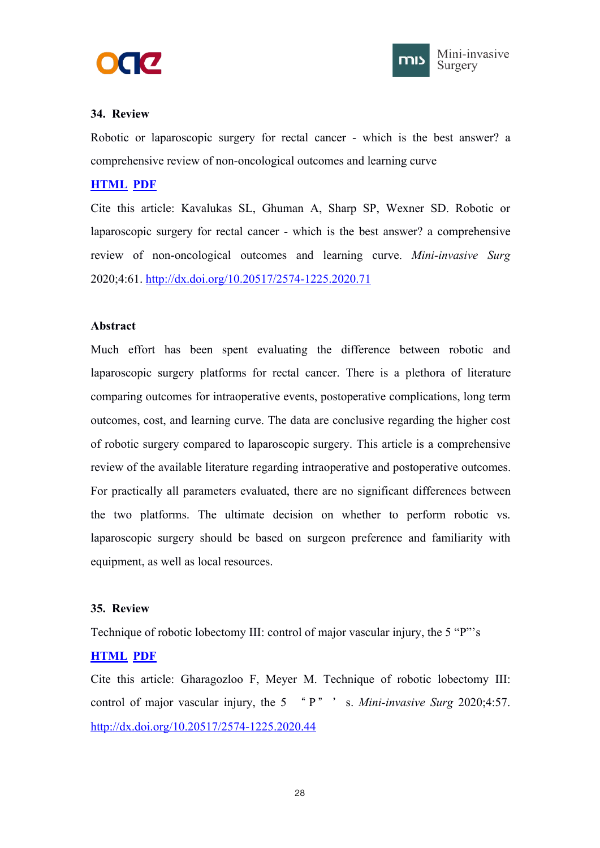



## <span id="page-32-1"></span><span id="page-32-0"></span>**34. Review**

Robotic or laparoscopic surgery for rectal cancer - which is the best answer? a comprehensive review of non-oncological outcomes and learning curve

## **[HTML](https://misjournal.net/article/view/3640) [PDF](https://oaepublishstorage.blob.core.windows.net/e3558a4b-54bb-4593-bd6c-434e320f4fa8/3640.pdf)**

Cite this article: Kavalukas SL, Ghuman A, Sharp SP, Wexner SD. Robotic or laparoscopic surgery for rectal cancer - which is the best answer? a comprehensive review of non-oncological outcomes and learning curve. *Mini-invasive Surg* 2020;4:61. <http://dx.doi.org/10.20517/2574-1225.2020.71>

## **Abstract**

Much effort has been spent evaluating the difference between robotic and laparoscopic surgery platforms for rectal cancer. There is a plethora of literature comparing outcomes for intraoperative events, postoperative complications, long term outcomes, cost, and learning curve. The data are conclusive regarding the higher cost of robotic surgery compared to laparoscopic surgery. This article is a comprehensive review of the available literature regarding intraoperative and postoperative outcomes. For practically all parameters evaluated, there are no significant differences between the two platforms. The ultimate decision on whether to perform robotic vs. laparoscopic surgery should be based on surgeon preference and familiarity with equipment, as well as local resources.

# **35. Review**

Technique of robotic lobectomy III: control of major vascular injury, the 5 "P"'s

# **[HTML](https://misjournal.net/article/view/3636) [PDF](https://oaepublishstorage.blob.core.windows.net/97bf93c8-27f9-4295-bb0b-08c6b5a2478d/3636.pdf)**

Cite this article: Gharagozloo F, Meyer M. Technique of robotic lobectomy III: control of major vascular injury, the 5 " P" ' s. *Mini-invasive Surg* 2020;4:57. <http://dx.doi.org/10.20517/2574-1225.2020.44>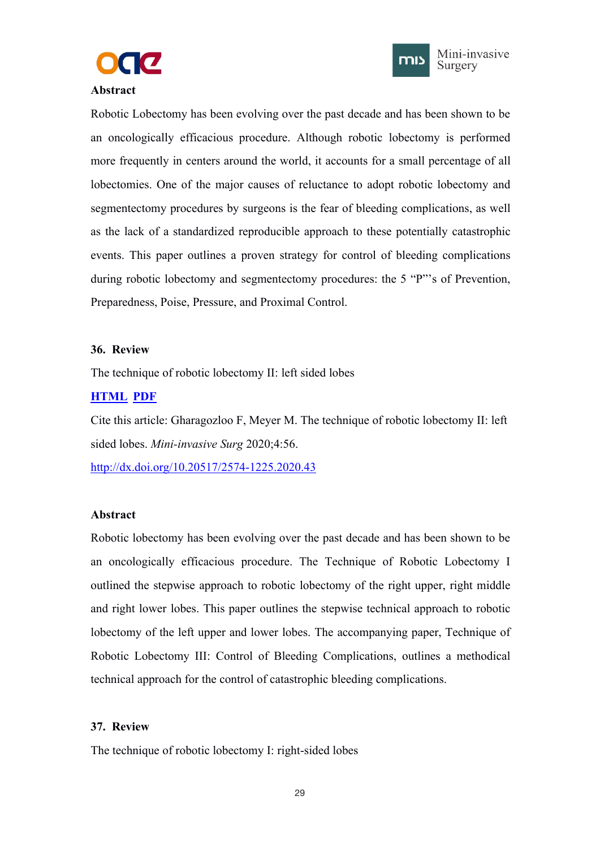



### <span id="page-33-1"></span><span id="page-33-0"></span>**Abstract**

Robotic Lobectomy has been evolving over the past decade and has been shown to be an oncologically efficacious procedure. Although robotic lobectomy is performed more frequently in centers around the world, it accounts for a small percentage of all lobectomies. One of the major causes of reluctance to adopt robotic lobectomy and segmentectomy procedures by surgeons is the fear of bleeding complications, as well as the lack of a standardized reproducible approach to these potentially catastrophic events. This paper outlines a proven strategy for control of bleeding complications during robotic lobectomy and segmentectomy procedures: the 5 "P"'s of Prevention, Preparedness, Poise, Pressure, and Proximal Control.

#### **36. Review**

The technique of robotic lobectomy II: left sided lobes

# **[HTML](https://misjournal.net/article/view/3635) [PDF](https://oaepublishstorage.blob.core.windows.net/83c584ff-267a-4f81-8436-d483a93beebf/3635.pdf)**

Cite this article: Gharagozloo F, Meyer M. The technique of robotic lobectomy II: left sided lobes. *Mini-invasive Surg* 2020;4:56.

<http://dx.doi.org/10.20517/2574-1225.2020.43>

## **Abstract**

Robotic lobectomy has been evolving over the past decade and has been shown to be an oncologically efficacious procedure. The Technique of Robotic Lobectomy I outlined the stepwise approach to robotic lobectomy of the right upper, right middle and right lower lobes. This paper outlines the stepwise technical approach to robotic lobectomy of the left upper and lower lobes. The accompanying paper, Technique of Robotic Lobectomy III: Control of Bleeding Complications, outlines a methodical technical approach for the control of catastrophic bleeding complications.

## **37. Review**

The technique of robotic lobectomy I: right-sided lobes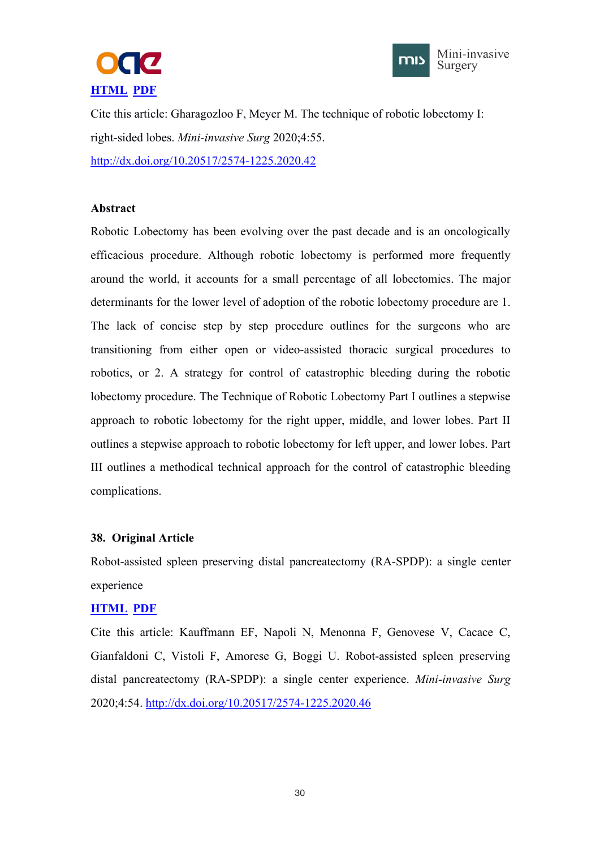



<span id="page-34-1"></span><span id="page-34-0"></span>Cite this article: Gharagozloo F, Meyer M. The technique of robotic lobectomy I: right-sided lobes. *Mini-invasive Surg* 2020;4:55. <http://dx.doi.org/10.20517/2574-1225.2020.42>

## **Abstract**

Robotic Lobectomy has been evolving over the past decade and is an oncologically efficacious procedure. Although robotic lobectomy is performed more frequently around the world, it accounts for a small percentage of all lobectomies. The major determinants for the lower level of adoption of the robotic lobectomy procedure are 1. The lack of concise step by step procedure outlines for the surgeons who are transitioning from either open or video-assisted thoracic surgical procedures to robotics, or 2. A strategy for control of catastrophic bleeding during the robotic lobectomy procedure. The Technique of Robotic Lobectomy Part I outlines a stepwise approach to robotic lobectomy for the right upper, middle, and lower lobes. Part II outlines a stepwise approach to robotic lobectomy for left upper, and lower lobes. Part III outlines a methodical technical approach for the control of catastrophic bleeding complications.

## **38. Original Article**

Robot-assisted spleen preserving distal pancreatectomy (RA-SPDP): a single center experience

## **[HTML](https://misjournal.net/article/view/3597) [PDF](https://oaepublishstorage.blob.core.windows.net/1b2dfd39-e14c-4695-a081-86590f254e43/3597.pdf)**

Cite this article: Kauffmann EF, Napoli N, Menonna F, Genovese V, Cacace C, Gianfaldoni C, Vistoli F, Amorese G, Boggi U. Robot-assisted spleen preserving distal pancreatectomy (RA-SPDP): a single center experience. *Mini-invasive Surg* 2020;4:54. <http://dx.doi.org/10.20517/2574-1225.2020.46>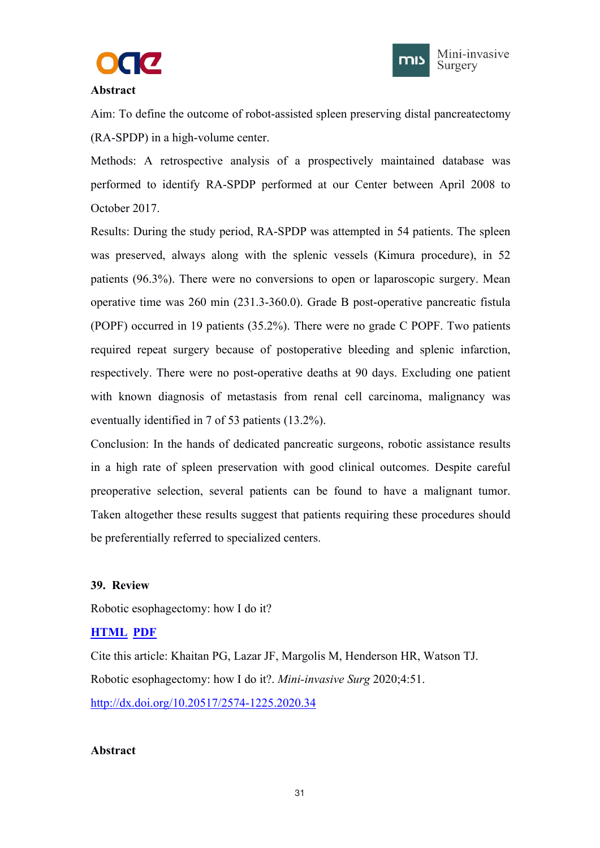



### <span id="page-35-1"></span><span id="page-35-0"></span>**Abstract**

Aim: To define the outcome of robot-assisted spleen preserving distal pancreatectomy (RA-SPDP) in a high-volume center.

Methods: A retrospective analysis of a prospectively maintained database was performed to identify RA-SPDP performed at our Center between April 2008 to October 2017.

Results: During the study period, RA-SPDP was attempted in 54 patients. The spleen was preserved, always along with the splenic vessels (Kimura procedure), in 52 patients (96.3%). There were no conversions to open or laparoscopic surgery. Mean operative time was 260 min (231.3-360.0). Grade B post-operative pancreatic fistula (POPF) occurred in 19 patients (35.2%). There were no grade C POPF. Two patients required repeat surgery because of postoperative bleeding and splenic infarction, respectively. There were no post-operative deaths at 90 days. Excluding one patient with known diagnosis of metastasis from renal cell carcinoma, malignancy was eventually identified in 7 of 53 patients (13.2%).

Conclusion: In the hands of dedicated pancreatic surgeons, robotic assistance results in a high rate of spleen preservation with good clinical outcomes. Despite careful preoperative selection, several patients can be found to have a malignant tumor. Taken altogether these results suggest that patients requiring these procedures should be preferentially referred to specialized centers.

## **39. Review**

Robotic esophagectomy: how I do it?

# **[HTML](https://misjournal.net/article/view/3594) [PDF](https://oaepublishstorage.blob.core.windows.net/138e8604-24f5-46cc-888a-61c3c1808f91/3594.pdf)**

Cite this article: Khaitan PG, Lazar JF, Margolis M, Henderson HR, Watson TJ. Robotic esophagectomy: how I do it?. *Mini-invasive Surg* 2020;4:51. <http://dx.doi.org/10.20517/2574-1225.2020.34>

## **Abstract**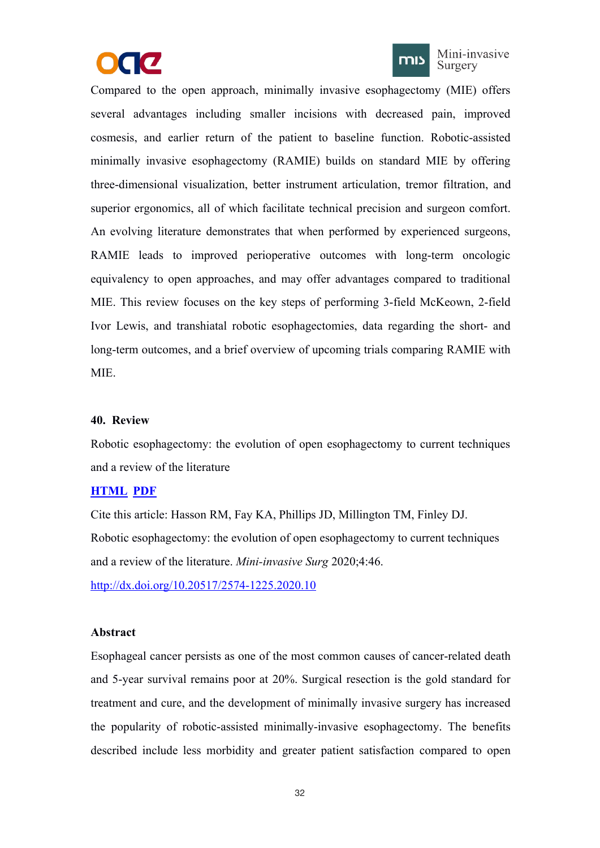



<span id="page-36-1"></span><span id="page-36-0"></span>Compared to the open approach, minimally invasive esophagectomy (MIE) offers several advantages including smaller incisions with decreased pain, improved cosmesis, and earlier return of the patient to baseline function. Robotic-assisted minimally invasive esophagectomy (RAMIE) builds on standard MIE by offering three-dimensional visualization, better instrument articulation, tremor filtration, and superior ergonomics, all of which facilitate technical precision and surgeon comfort. An evolving literature demonstrates that when performed by experienced surgeons, RAMIE leads to improved perioperative outcomes with long-term oncologic equivalency to open approaches, and may offer advantages compared to traditional MIE. This review focuses on the key steps of performing 3-field McKeown, 2-field Ivor Lewis, and transhiatal robotic esophagectomies, data regarding the short- and long-term outcomes, and a brief overview of upcoming trials comparing RAMIE with MIE.

## **40. Review**

Robotic esophagectomy: the evolution of open esophagectomy to current techniques and a review of the literature

## **[HTML](https://misjournal.net/article/view/3568) [PDF](https://oaepublishstorage.blob.core.windows.net/fdd23025-d575-4154-9ce9-dd61f4ba99fa/3568.pdf)**

Cite this article: Hasson RM, Fay KA, Phillips JD, Millington TM, Finley DJ. Robotic esophagectomy: the evolution of open esophagectomy to current techniques and a review of the literature. *Mini-invasive Surg* 2020;4:46. <http://dx.doi.org/10.20517/2574-1225.2020.10>

#### **Abstract**

Esophageal cancer persists as one of the most common causes of cancer-related death and 5-year survival remains poor at20%. Surgical resection is the gold standard for treatment and cure, and the development of minimally invasive surgery has increased the popularity of robotic-assisted minimally-invasive esophagectomy. The benefits described include less morbidity and greater patient satisfaction compared to open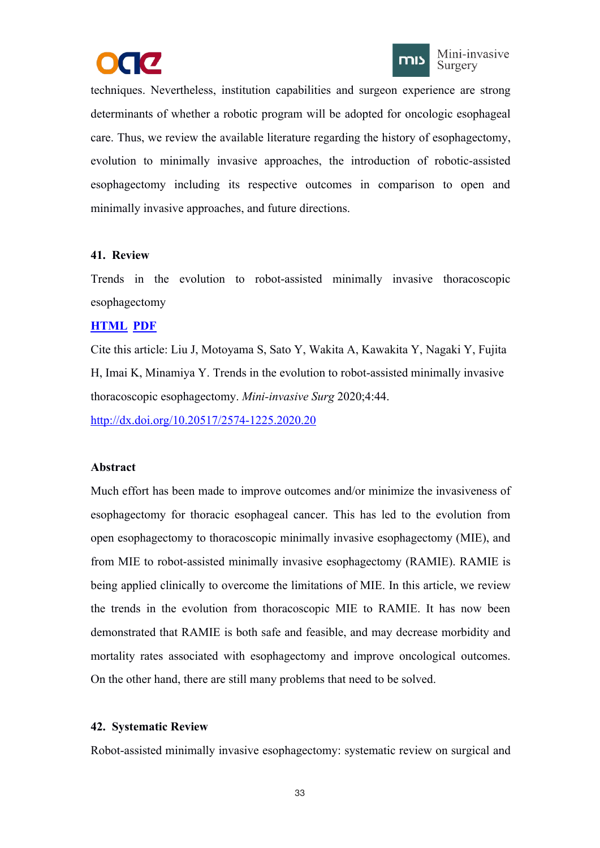



<span id="page-37-1"></span><span id="page-37-0"></span>techniques. Nevertheless, institution capabilities and surgeon experience are strong determinants of whether a robotic program will be adopted for oncologic esophageal care. Thus, we review the available literature regarding the history of esophagectomy, evolution to minimally invasive approaches, the introduction of robotic-assisted esophagectomy including its respective outcomes in comparison to open and minimally invasive approaches, and future directions.

## **41. Review**

Trends in the evolution to robot-assisted minimally invasive thoracoscopic esophagectomy

## **[HTML](https://misjournal.net/article/view/3561) [PDF](https://oaepublishstorage.blob.core.windows.net/2f3f7cf3-942d-474e-b795-91ecd5ef1b6a/3561.pdf)**

Cite this article: Liu J, Motoyama S, Sato Y, Wakita A, Kawakita Y, Nagaki Y, Fujita H, Imai K, Minamiya Y. Trends in the evolution to robot-assisted minimally invasive thoracoscopic esophagectomy. *Mini-invasive Surg* 2020;4:44.

<http://dx.doi.org/10.20517/2574-1225.2020.20>

# **Abstract**

Much effort has been made to improve outcomes and/or minimize the invasiveness of esophagectomy for thoracic esophageal cancer. This has led to the evolution from open esophagectomy to thoracoscopic minimally invasive esophagectomy (MIE), and from MIE to robot-assisted minimally invasive esophagectomy (RAMIE). RAMIE is being applied clinically to overcome the limitations of MIE. In this article, we review the trends in the evolution from thoracoscopic MIE to RAMIE. It has now been demonstrated that RAMIE is both safe and feasible, and may decrease morbidity and mortality rates associated with esophagectomy and improve oncological outcomes. On the other hand, there are still many problems that need to be solved.

# **42. Systematic Review**

Robot-assisted minimally invasive esophagectomy: systematic review on surgical and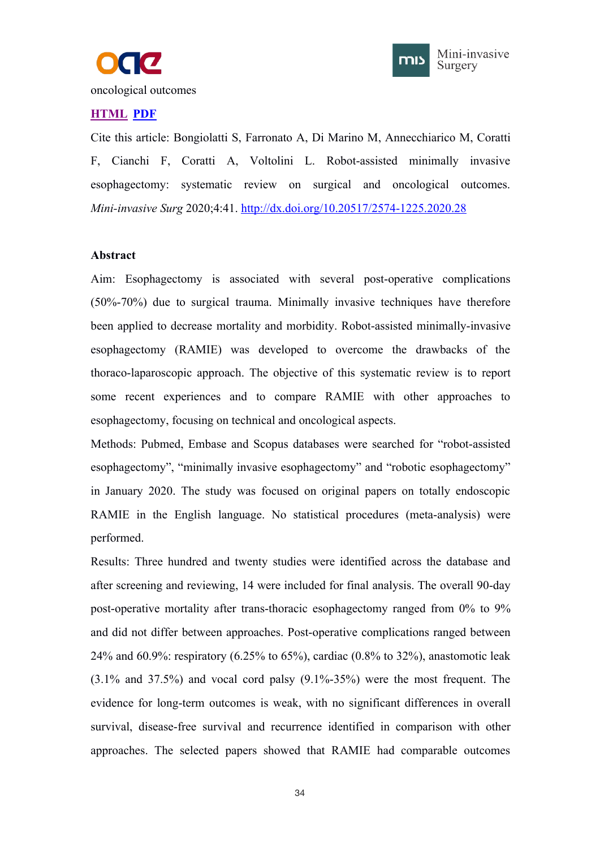



oncological outcomes

## **[HTML](https://misjournal.net/article/view/3546) [PDF](https://oaepublishstorage.blob.core.windows.net/338cfdfb-2af2-4210-87f9-f5455e11a52c/3546.pdf)**

Cite this article: Bongiolatti S, Farronato A, Di Marino M, Annecchiarico M, Coratti F, Cianchi F, Coratti A, Voltolini L. Robot-assisted minimally invasive esophagectomy: systematic review on surgical and oncological outcomes. *Mini-invasive Surg* 2020;4:41. <http://dx.doi.org/10.20517/2574-1225.2020.28>

#### **Abstract**

Aim: Esophagectomy is associated with several post-operative complications (50%-70%) due to surgical trauma. Minimally invasive techniques have therefore been applied to decrease mortality and morbidity. Robot-assisted minimally-invasive esophagectomy (RAMIE) was developed to overcome the drawbacks of the thoraco-laparoscopic approach. The objective of this systematic review is to report some recent experiences and to compare RAMIE with other approaches to esophagectomy, focusing on technical and oncological aspects.

Methods: Pubmed, Embase and Scopus databases were searched for "robot-assisted esophagectomy", "minimally invasive esophagectomy" and "robotic esophagectomy" in January 2020. The study was focused on original papers on totally endoscopic RAMIE in the English language. No statistical procedures (meta-analysis) were performed.

Results: Three hundred and twenty studies were identified across the database and after screening and reviewing, 14 were included for final analysis. The overall 90-day post-operative mortality after trans-thoracic esophagectomy ranged from 0% to 9% and did not differ between approaches. Post-operative complications ranged between 24% and 60.9%: respiratory (6.25% to 65%), cardiac (0.8% to 32%), anastomotic leak  $(3.1\%$  and  $37.5\%)$  and vocal cord palsy  $(9.1\% - 35\%)$  were the most frequent. The evidence for long-term outcomes is weak, with no significant differences in overall survival, disease-free survival and recurrence identified in comparison with other approaches. The selected papers showed that RAMIE had comparable outcomes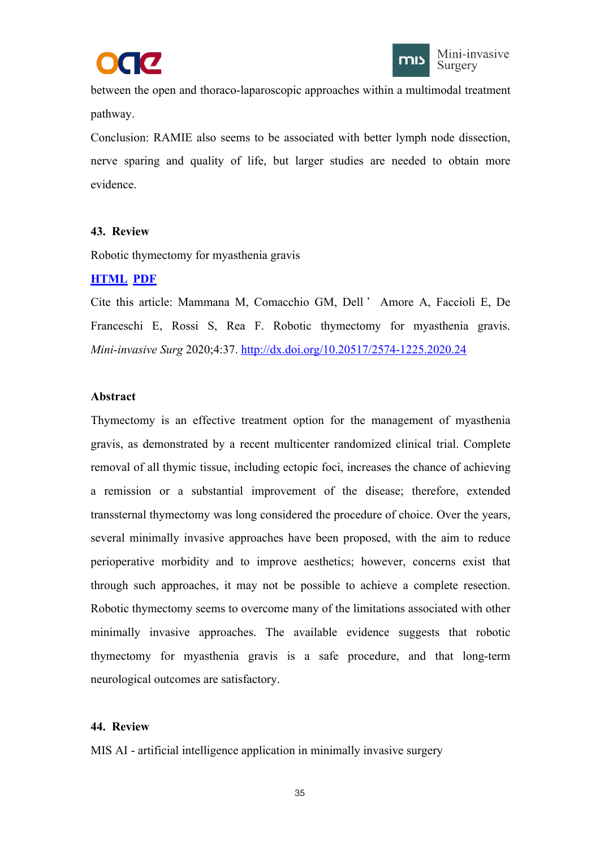



<span id="page-39-1"></span><span id="page-39-0"></span>between the open and thoraco-laparoscopic approaches within a multimodal treatment pathway.

Conclusion: RAMIE also seems to be associated with better lymph node dissection, nerve sparing and quality of life, but larger studies are needed to obtain more evidence.

## **43. Review**

Robotic thymectomy for myasthenia gravis

# **[HTML](https://misjournal.net/article/view/3514) [PDF](https://oaepublishstorage.blob.core.windows.net/45888a7e-0ee2-4d2f-a540-89a48efeb526/3514.pdf)**

Cite this article: Mammana M, Comacchio GM, Dell ' Amore A, Faccioli E, De Franceschi E, Rossi S, Rea F. Robotic thymectomy for myasthenia gravis. *Mini-invasive Surg* 2020;4:37. <http://dx.doi.org/10.20517/2574-1225.2020.24>

## **Abstract**

Thymectomy is an effective treatment option for the management of myasthenia gravis, as demonstrated by a recent multicenter randomized clinical trial. Complete removal of all thymic tissue, including ectopic foci, increases the chance of achieving a remission or a substantial improvement of the disease; therefore, extended transsternal thymectomy was long considered the procedure of choice. Over the years, several minimally invasive approaches have been proposed, with the aim to reduce perioperative morbidity and to improve aesthetics; however, concerns exist that through such approaches, it may not be possible to achieve a complete resection. Robotic thymectomy seems to overcome many of the limitations associated with other minimally invasive approaches. The available evidence suggests that robotic thymectomy for myasthenia gravis is a safe procedure, and that long-term neurological outcomes are satisfactory.

# **44. Review**

MIS AI - artificial intelligence application in minimally invasive surgery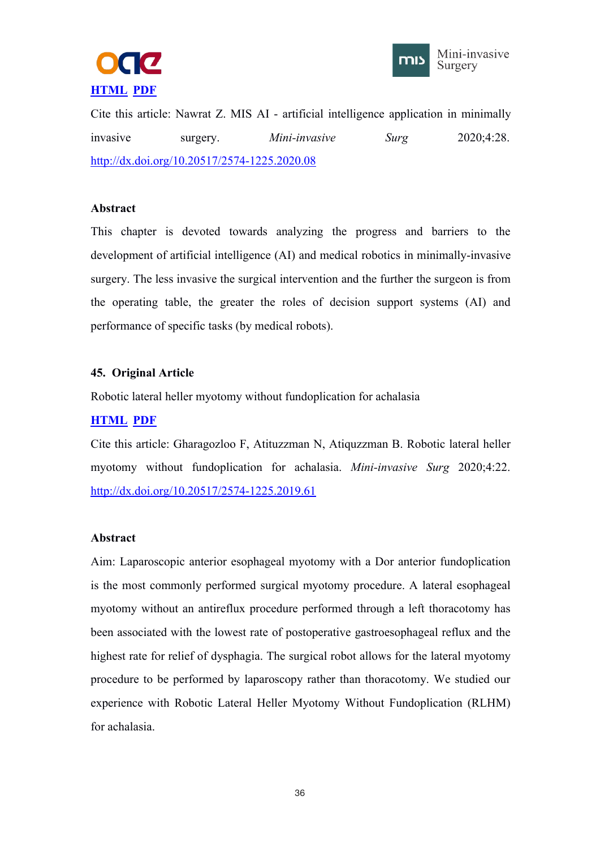



<span id="page-40-1"></span><span id="page-40-0"></span>Cite this article: Nawrat Z. MIS AI - artificial intelligence application in minimally invasive surgery. *Mini-invasive Surg* 2020;4:28. <http://dx.doi.org/10.20517/2574-1225.2020.08>

## **Abstract**

This chapter is devoted towards analyzing the progress and barriers to the development of artificial intelligence (AI) and medical robotics in minimally-invasive surgery. The less invasive the surgical intervention and the further the surgeon is from the operating table, the greater the roles of decision support systems (AI) and performance of specific tasks (by medical robots).

## **45. Original Article**

Robotic lateral heller myotomy without fundoplication for achalasia

## **[HTML](https://misjournal.net/article/view/3405) [PDF](https://oaepublishstorage.blob.core.windows.net/afd6e014-b8d1-42ab-ad5f-03f09f73259f/3405.pdf)**

Cite this article: Gharagozloo F, Atituzzman N, Atiquzzman B. Robotic lateral heller myotomy without fundoplication for achalasia. *Mini-invasive Surg* 2020;4:22. <http://dx.doi.org/10.20517/2574-1225.2019.61>

## **Abstract**

Aim: Laparoscopic anterior esophageal myotomy with a Dor anterior fundoplication is the most commonly performed surgical myotomy procedure. A lateral esophageal myotomy without an antireflux procedure performed through a left thoracotomy has been associated with the lowest rate of postoperative gastroesophageal reflux and the highest rate for relief of dysphagia. The surgical robot allows for the lateral myotomy procedure to be performed by laparoscopy rather than thoracotomy. We studied our experience with Robotic Lateral Heller Myotomy Without Fundoplication (RLHM) for achalasia.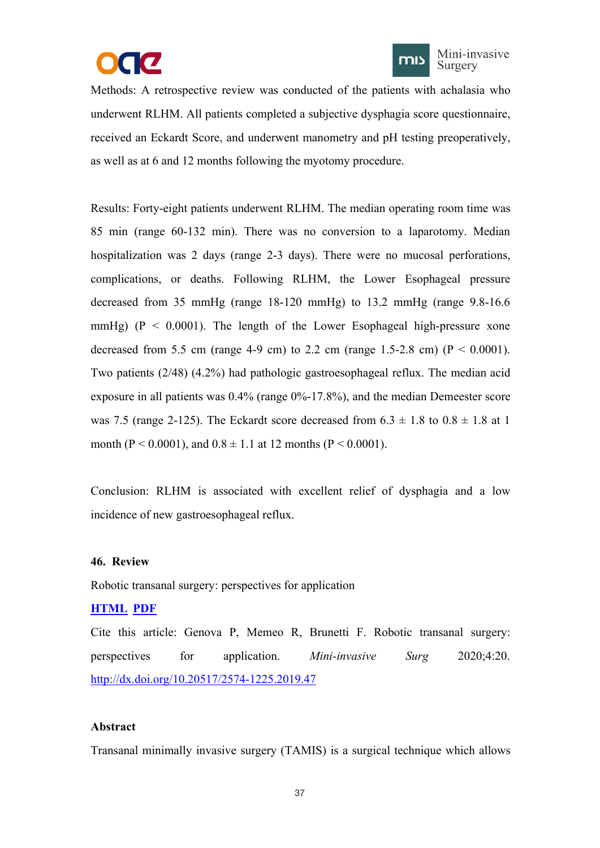



<span id="page-41-1"></span><span id="page-41-0"></span>Methods: A retrospective review was conducted of the patients with achalasia who underwent RLHM. All patients completed a subjective dysphagia score questionnaire, received an Eckardt Score, and underwent manometry and pH testing preoperatively, as well as at 6 and 12 months following the myotomy procedure.

Results: Forty-eight patients underwent RLHM. The median operating room time was 85 min (range 60-132 min). There was no conversion to a laparotomy. Median hospitalization was 2 days (range 2-3 days). There were no mucosal perforations, complications, or deaths. Following RLHM, the Lower Esophageal pressure decreased from 35 mmHg (range 18-120 mmHg) to 13.2 mmHg (range 9.8-16.6 mmHg) ( $P < 0.0001$ ). The length of the Lower Esophageal high-pressure xone decreased from 5.5 cm (range 4-9 cm) to 2.2 cm (range 1.5-2.8 cm) ( $P < 0.0001$ ). Two patients (2/48) (4.2%) had pathologic gastroesophageal reflux. The median acid exposure in all patients was 0.4% (range 0%-17.8%), and the median Demeester score was 7.5 (range 2-125). The Eckardt score decreased from  $6.3 \pm 1.8$  to  $0.8 \pm 1.8$  at 1 month (P < 0.0001), and  $0.8 \pm 1.1$  at 12 months (P < 0.0001).

Conclusion: RLHM is associated with excellent relief of dysphagia and a low incidence of new gastroesophageal reflux.

## **46. Review**

Robotic transanal surgery: perspectives for application

## **[HTML](https://misjournal.net/article/view/3385) [PDF](https://oaepublishstorage.blob.core.windows.net/d38d08df-6cac-49a3-b0b9-922a0c213401/3385.pdf)**

Cite this article: Genova P, Memeo R, Brunetti F. Robotic transanal surgery: perspectives for application. *Mini-invasive Surg* 2020;4:20. <http://dx.doi.org/10.20517/2574-1225.2019.47>

#### **Abstract**

Transanal minimally invasive surgery (TAMIS) is a surgical technique which allows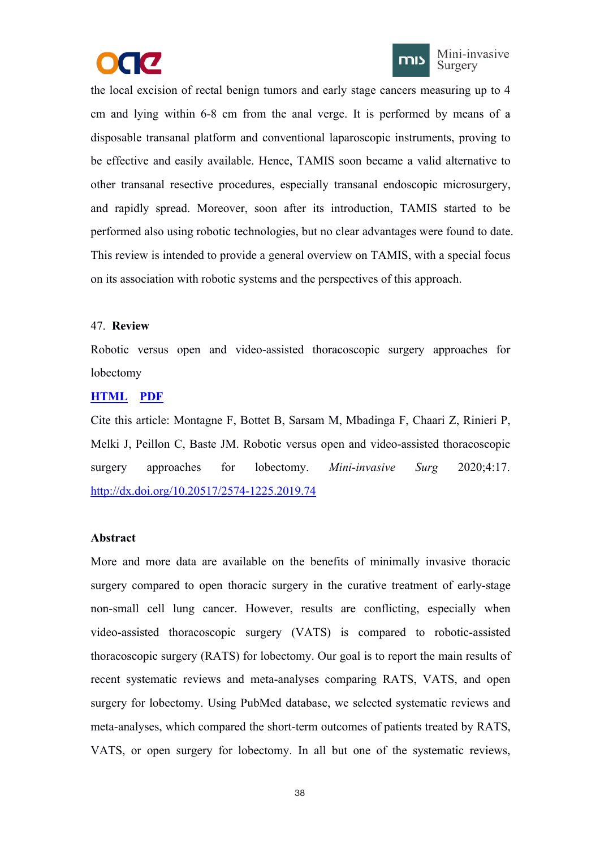



<span id="page-42-0"></span>the local excision of rectal benign tumors and early stage cancers measuring up to 4 cm and lying within 6-8 cm from the anal verge. It is performed by means of a disposable transanal platform and conventional laparoscopic instruments, proving to be effective and easily available. Hence, TAMIS soon became a valid alternative to other transanal resective procedures, especially transanal endoscopic microsurgery, and rapidly spread. Moreover, soon after its introduction, TAMIS started to be performed also using robotic technologies, but no clear advantages were found to date. This review is intended to provide a general overview on TAMIS, with a special focus on its association with robotic systems and the perspectives ofthis approach.

## 47. **Review**

Robotic versus open and video-assisted thoracoscopic surgery approaches for lobectomy

## **[HTML](https://misjournal.net/article/view/3378) [PDF](https://oaepublishstorage.blob.core.windows.net/d5f3f638-19e4-4f7b-ae87-30afb5d00547/3378.pdf)**

Cite this article: Montagne F, Bottet B, Sarsam M, Mbadinga F, Chaari Z, Rinieri P, Melki J, Peillon C, Baste JM. Robotic versus open and video-assisted thoracoscopic surgery approaches for lobectomy. *Mini-invasive Surg* 2020;4:17. <http://dx.doi.org/10.20517/2574-1225.2019.74>

## **Abstract**

More and more data are available on the benefits of minimally invasive thoracic surgery compared to open thoracic surgery in the curative treatment of early-stage non-small cell lung cancer. However, results are conflicting, especially when video-assisted thoracoscopic surgery (VATS) is compared to robotic-assisted thoracoscopic surgery (RATS) for lobectomy. Our goal is to report the main results of recent systematic reviews and meta-analyses comparing RATS, VATS, and open surgery for lobectomy. Using PubMed database, we selected systematic reviews and meta-analyses, which compared the short-term outcomes of patients treated by RATS, VATS, or open surgery for lobectomy. In all but one of the systematic reviews,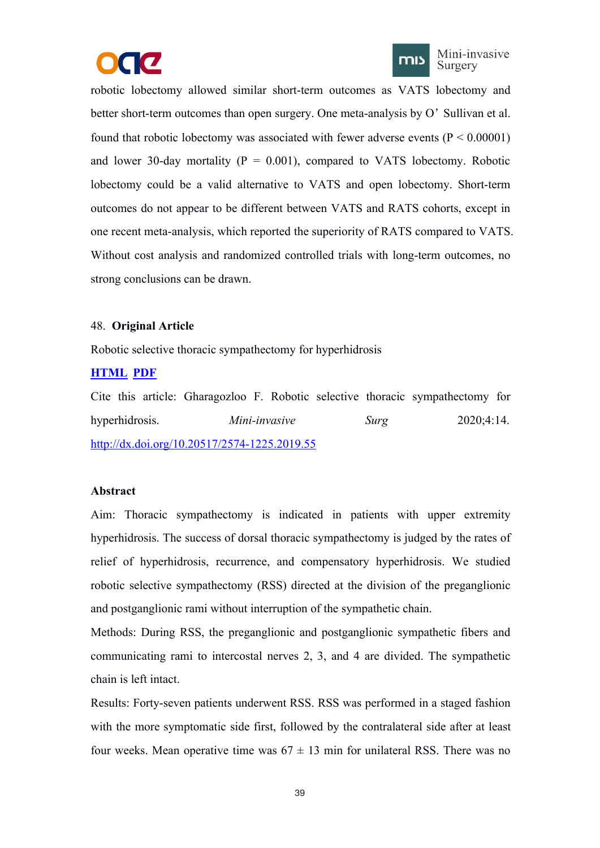



<span id="page-43-1"></span><span id="page-43-0"></span>robotic lobectomy allowed similar short-term outcomes as VATS lobectomy and better short-term outcomes than open surgery. One meta-analysis by O'Sullivan et al. found that robotic lobectomy was associated with fewer adverse events  $(P < 0.00001)$ and lower 30-day mortality ( $P = 0.001$ ), compared to VATS lobectomy. Robotic lobectomy could be a valid alternative to VATS and open lobectomy. Short-term outcomes do not appear to be different between VATS and RATS cohorts, except in one recent meta-analysis, which reported the superiority of RATS compared to VATS. Without cost analysis and randomized controlled trials with long-term outcomes, no strong conclusions can be drawn.

## 48. **Original Article**

Robotic selective thoracic sympathectomy for hyperhidrosis

# **[HTML](https://misjournal.net/article/view/3367) [PDF](https://oaepublishstorage.blob.core.windows.net/c2593d7b-643a-4007-b62d-2089b9087674/3367.pdf)**

Cite this article: Gharagozloo F. Robotic selective thoracic sympathectomy for hyperhidrosis. *Mini-invasive Surg* 2020;4:14. <http://dx.doi.org/10.20517/2574-1225.2019.55>

## **Abstract**

Aim: Thoracic sympathectomy is indicated in patients with upper extremity hyperhidrosis. The success of dorsal thoracic sympathectomy is judged by the rates of relief of hyperhidrosis, recurrence, and compensatory hyperhidrosis. We studied robotic selective sympathectomy (RSS) directed at the division of the preganglionic and postganglionic rami without interruption of the sympathetic chain.

Methods: During RSS, the preganglionic and postganglionic sympathetic fibers and communicating rami to intercostal nerves 2, 3, and 4 are divided. The sympathetic chain is left intact.

Results: Forty-seven patients underwent RSS. RSS was performed in a staged fashion with the more symptomatic side first, followed by the contralateral side after at least four weeks. Mean operative time was  $67 \pm 13$  min for unilateral RSS. There was no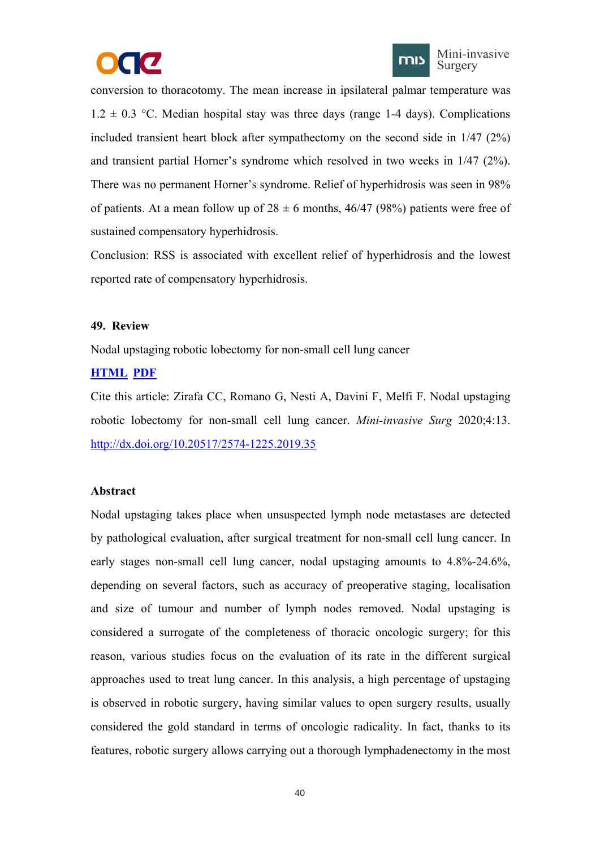



<span id="page-44-1"></span><span id="page-44-0"></span>conversion to thoracotomy. The mean increase in ipsilateral palmar temperature was  $1.2 \pm 0.3$  °C. Median hospital stay was three days (range 1-4 days). Complications included transient heart block after sympathectomy on the second side in 1/47 (2%) and transient partial Horner's syndrome which resolved in two weeks in 1/47 (2%).<br>There was no permanent Horner's syndrome. Relief of hyperhidrosis was seen in 98% of patients. At a mean follow up of  $28 \pm 6$  months, 46/47 (98%) patients were free of sustained compensatory hyperhidrosis.

Conclusion: RSS is associated with excellent relief of hyperhidrosis and the lowest reported rate of compensatory hyperhidrosis.

## **49. Review**

Nodal upstaging robotic lobectomy for non-small cell lung cancer

## **[HTML](https://misjournal.net/article/view/3366) [PDF](https://oaepublishstorage.blob.core.windows.net/4ac3ebaf-36d6-49d9-a924-703af4e6ddab/3366.pdf)**

Cite this article: Zirafa CC, Romano G, Nesti A, Davini F, Melfi F. Nodal upstaging robotic lobectomy for non-small cell lung cancer. *Mini-invasive Surg* 2020;4:13. <http://dx.doi.org/10.20517/2574-1225.2019.35>

#### **Abstract**

Nodal upstaging takes place when unsuspected lymph node metastases are detected by pathological evaluation, after surgical treatment for non-small cell lung cancer. In early stages non-small cell lung cancer, nodal upstaging amounts to 4.8%-24.6%, depending on several factors, such as accuracy of preoperative staging, localisation and size of tumour and number of lymph nodes removed. Nodal upstaging is considered a surrogate of the completeness of thoracic oncologic surgery; for this reason, various studies focus on the evaluation of its rate in the different surgical approaches used to treat lung cancer. In this analysis, a high percentage of upstaging is observed in robotic surgery, having similar values to open surgery results, usually considered the gold standard in terms of oncologic radicality. In fact, thanks to its features, robotic surgery allows carrying out a thorough lymphadenectomy in the most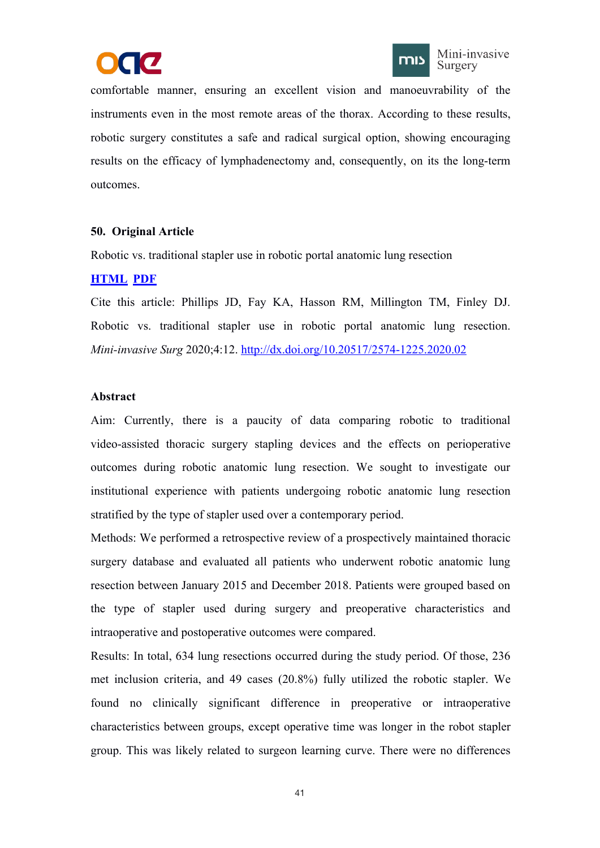



<span id="page-45-1"></span><span id="page-45-0"></span>comfortable manner, ensuring an excellent vision and manoeuvrability of the instruments even in the most remote areas of the thorax. According to these results, robotic surgery constitutes a safe and radical surgical option, showing encouraging results on the efficacy of lymphadenectomy and, consequently, on its the long-term outcomes.

## **50. Original Article**

Robotic vs. traditional stapler use in robotic portal anatomic lung resection

# **[HTML](https://misjournal.net/article/view/3341) [PDF](https://oaepublishstorage.blob.core.windows.net/ba762fb7-cc65-4415-9ac2-fb46fd72f46b/3341.pdf)**

Cite this article: Phillips JD, Fay KA, Hasson RM, Millington TM, Finley DJ. Robotic vs. traditional stapler use in robotic portal anatomic lung resection. *Mini-invasive Surg* 2020;4:12. <http://dx.doi.org/10.20517/2574-1225.2020.02>

## **Abstract**

Aim: Currently, there is a paucity of data comparing robotic to traditional video-assisted thoracic surgery stapling devices and the effects on perioperative outcomes during robotic anatomic lung resection. We sought to investigate our institutional experience with patients undergoing robotic anatomic lung resection stratified by the type of stapler used over a contemporary period.

Methods: We performed a retrospective review of a prospectively maintained thoracic surgery database and evaluated all patients who underwent robotic anatomic lung resection between January 2015 and December 2018. Patients were grouped based on the type of stapler used during surgery and preoperative characteristics and intraoperative and postoperative outcomes were compared.

Results: In total, 634 lung resections occurred during the study period. Of those, 236 met inclusion criteria, and 49 cases (20.8%) fully utilized the robotic stapler. We found no clinically significant difference in preoperative or intraoperative characteristics between groups, except operative time was longer in the robot stapler group. This was likely related to surgeon learning curve. There were no differences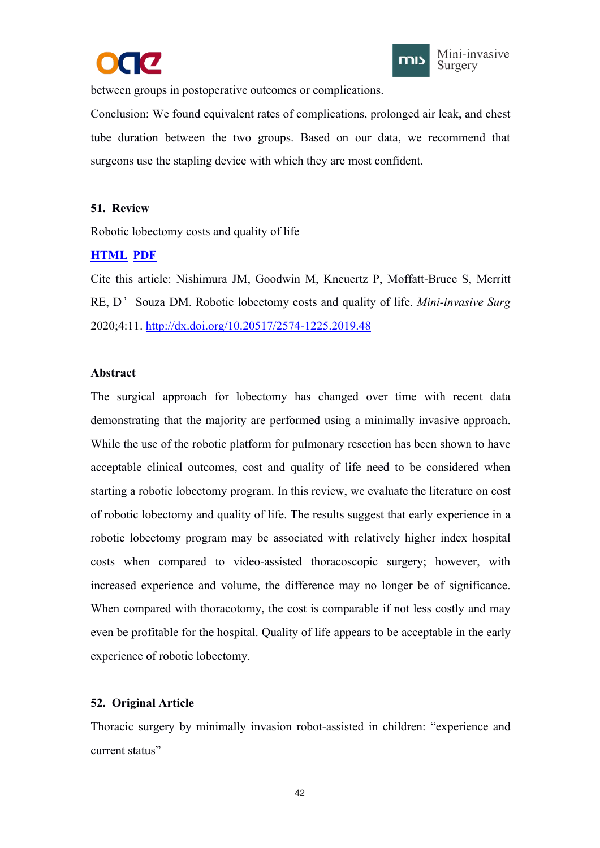



<span id="page-46-1"></span><span id="page-46-0"></span>between groups in postoperative outcomes or complications.

Conclusion: We found equivalent rates of complications, prolonged air leak, and chest tube duration between the two groups. Based on our data, we recommend that surgeons use the stapling device with which they are most confident.

## **51. Review**

Robotic lobectomy costs and quality of life

# **[HTML](https://misjournal.net/article/view/3340) [PDF](https://oaepublishstorage.blob.core.windows.net/bc93e93a-7b76-4b1f-b441-c3b9c9559277/3340.pdf)**

Cite this article: Nishimura JM, Goodwin M, Kneuertz P, Moffatt-Bruce S, Merritt RE, D'Souza DM. Robotic lobectomy costs and quality of life. *Mini-invasive Surg* 2020;4:11. <http://dx.doi.org/10.20517/2574-1225.2019.48>

## **Abstract**

The surgical approach for lobectomy has changed over time with recent data demonstrating that the majority are performed using a minimally invasive approach. While the use of the robotic platform for pulmonary resection has been shown to have acceptable clinical outcomes, cost and quality of life need to be considered when starting a robotic lobectomy program. In this review, we evaluate the literature on cost of robotic lobectomy and quality of life. The results suggest that early experience in a robotic lobectomy program may be associated with relatively higher index hospital costs when compared to video-assisted thoracoscopic surgery; however, with increased experience and volume, the difference may no longer be of significance. When compared with thoracotomy, the cost is comparable if not less costly and may even be profitable for the hospital. Quality of life appears to be acceptable in the early experience of robotic lobectomy.

# **52. Original Article**

Thoracic surgery by minimally invasion robot-assisted in children: "experience and current status"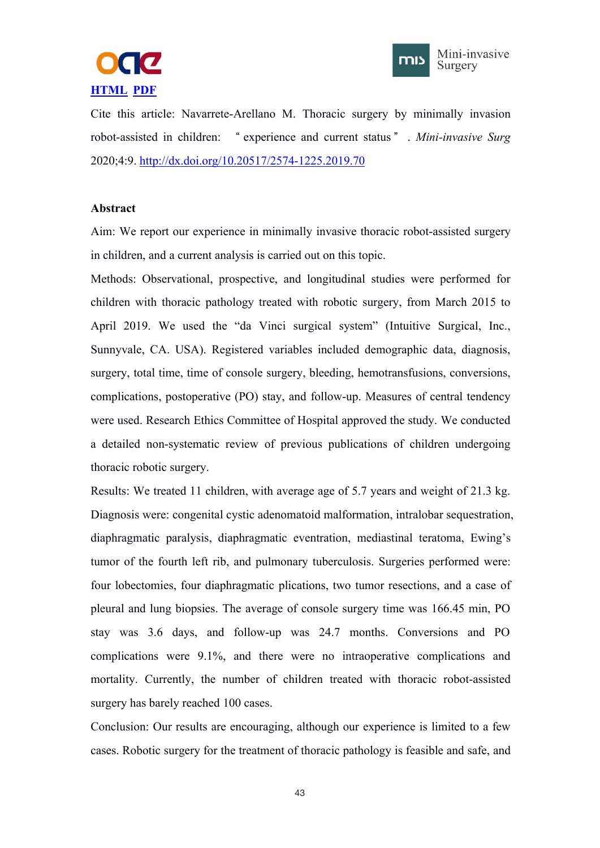



Cite this article: Navarrete-Arellano M. Thoracic surgery by minimally invasion robot-assisted in children: " experience and current status " . *Mini-invasive Surg* 2020;4:9. <http://dx.doi.org/10.20517/2574-1225.2019.70>

#### **Abstract**

Aim: We report our experience in minimally invasive thoracic robot-assisted surgery in children, and a current analysis is carried out on this topic.

Methods: Observational, prospective, and longitudinal studies were performed for children with thoracic pathology treated with robotic surgery, from March 2015 to April 2019. We used the "da Vinci surgical system" (Intuitive Surgical, Inc., Sunnyvale, CA. USA). Registered variables included demographic data, diagnosis, surgery, total time, time of console surgery, bleeding, hemotransfusions, conversions, complications, postoperative (PO) stay, and follow-up. Measures of central tendency were used. Research Ethics Committee of Hospital approved the study. We conducted a detailed non-systematic review of previous publications of children undergoing thoracic robotic surgery.

Results: We treated 11 children, with average age of 5.7 years and weight of 21.3 kg. Diagnosis were: congenital cystic adenomatoid malformation, intralobar sequestration, diaphragmatic paralysis, diaphragmatic eventration, mediastinal teratoma, Ewing's tumor of the fourth left rib, and pulmonary tuberculosis. Surgeries performed were: four lobectomies, four diaphragmatic plications, two tumor resections, and a case of pleural and lung biopsies. The average of console surgery time was 166.45 min, PO stay was 3.6 days, and follow-up was 24.7 months. Conversions and PO complications were 9.1%, and there were no intraoperative complications and mortality. Currently, the number of children treated with thoracic robot-assisted surgery has barely reached 100 cases.

Conclusion: Our results are encouraging, although our experience is limited to a few cases. Robotic surgery for the treatment of thoracic pathology is feasible and safe, and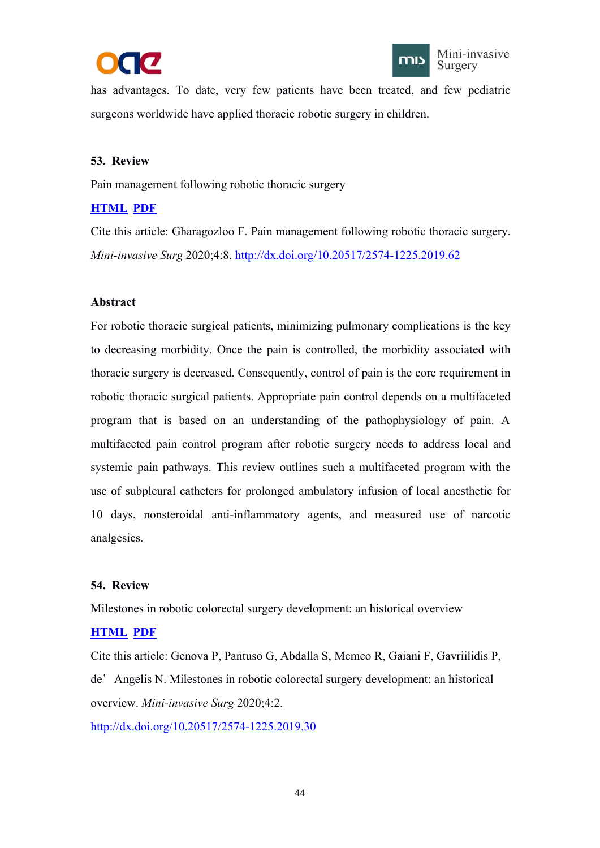



<span id="page-48-1"></span><span id="page-48-0"></span>has advantages. To date, very few patients have been treated, and few pediatric surgeons worldwide have applied thoracic robotic surgery in children.

## **53. Review**

Pain management following robotic thoracic surgery

# **[HTML](https://misjournal.net/article/view/3332) [PDF](https://oaepublishstorage.blob.core.windows.net/146493d0-c0f0-44d6-8f46-7a4303fd97f0/3332.pdf)**

Cite this article: Gharagozloo F. Pain management following robotic thoracic surgery. *Mini-invasive Surg* 2020;4:8. <http://dx.doi.org/10.20517/2574-1225.2019.62>

## **Abstract**

For robotic thoracic surgical patients, minimizing pulmonary complications is the key to decreasing morbidity. Once the pain is controlled, the morbidity associated with thoracic surgery is decreased. Consequently, control of pain is the core requirement in robotic thoracic surgical patients. Appropriate pain control depends on a multifaceted program that is based on an understanding of the pathophysiology of pain. A multifaceted pain control program after robotic surgery needs to address local and systemic pain pathways. This review outlines such a multifaceted program with the use of subpleural catheters for prolonged ambulatory infusion of local anesthetic for 10 days, nonsteroidal anti-inflammatory agents, and measured use of narcotic analgesics.

## **54. Review**

Milestones in robotic colorectal surgery development: an historical overview

# **[HTML](https://misjournal.net/article/view/3314) [PDF](https://oaepublishstorage.blob.core.windows.net/1f03c78b-c0bd-4dda-8622-61739ee5b254/3314.pdf)**

Cite this article: Genova P, Pantuso G, Abdalla S, Memeo R, Gaiani F, Gavriilidis P, de'Angelis N. Milestones in robotic colorectal surgery development: an historical overview. *Mini-invasive Surg* 2020;4:2.

<http://dx.doi.org/10.20517/2574-1225.2019.30>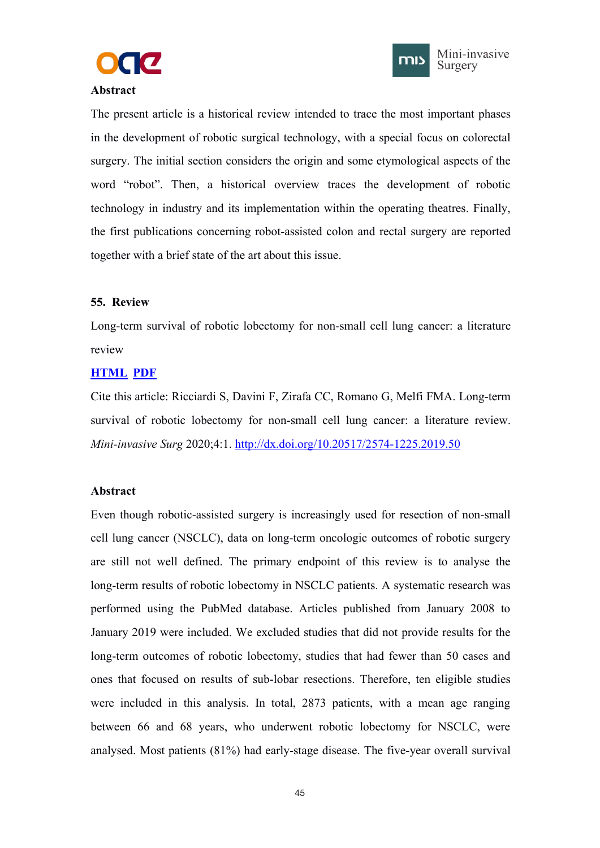



### <span id="page-49-1"></span><span id="page-49-0"></span>**Abstract**

The present article is a historical review intended to trace the most important phases in the development of robotic surgical technology, with a special focus on colorectal surgery. The initial section considers the origin and some etymological aspects of the word "robot". Then, a historical overview traces the development of robotic technology in industry and its implementation within the operating theatres. Finally, the first publications concerning robot-assisted colon and rectal surgery are reported together with a brief state of the art about this issue.

## **55. Review**

Long-term survival of robotic lobectomy for non-small cell lung cancer: a literature review

## **[HTML](https://misjournal.net/article/view/3313) [PDF](https://oaepublishstorage.blob.core.windows.net/06850167-d36d-4f6b-ae0b-5fa7d6e69c79/3313.pdf)**

Cite this article: Ricciardi S, Davini F, Zirafa CC, Romano G, Melfi FMA. Long-term survival of robotic lobectomy for non-small cell lung cancer: a literature review. *Mini-invasive Surg* 2020;4:1. <http://dx.doi.org/10.20517/2574-1225.2019.50>

## **Abstract**

Even though robotic-assisted surgery is increasingly used for resection of non-small cell lung cancer (NSCLC), data on long-term oncologic outcomes of robotic surgery are still not well defined. The primary endpoint of this review is to analyse the long-term results of robotic lobectomy in NSCLC patients. A systematic research was performed using the PubMed database. Articles published from January 2008 to January 2019 were included. We excluded studies that did not provide results for the long-term outcomes of robotic lobectomy, studies that had fewer than 50 cases and ones that focused on results of sub-lobar resections. Therefore, ten eligible studies were included in this analysis. In total, 2873 patients, with a mean age ranging between 66 and 68 years, who underwent robotic lobectomy for NSCLC, were analysed. Most patients (81%) had early-stage disease. The five-year overall survival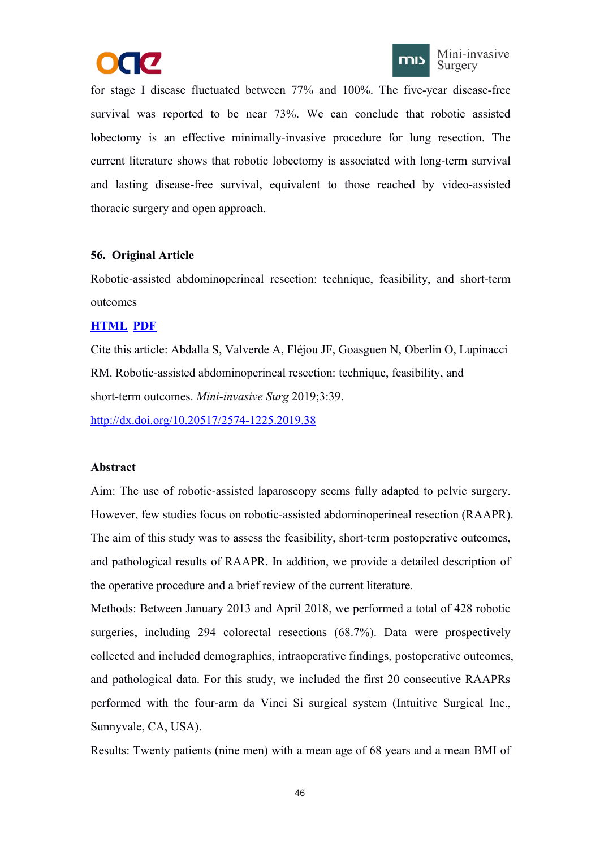



<span id="page-50-1"></span><span id="page-50-0"></span>for stage I disease fluctuated between 77% and 100%. The five-year disease-free survival was reported to be near 73%. We can conclude that robotic assisted lobectomy is an effective minimally-invasive procedure for lung resection. The current literature shows that robotic lobectomy is associated with long-term survival and lasting disease-free survival, equivalent to those reached by video-assisted thoracic surgery and open approach.

## **56. Original Article**

Robotic-assisted abdominoperineal resection: technique, feasibility, and short-term outcomes

## **[HTML](https://misjournal.net/article/view/3299) [PDF](https://oaepublishstorage.blob.core.windows.net/25b4f0d0-7e62-457b-b6b3-57ef9624d87e/3299.pdf)**

Cite this article: Abdalla S, Valverde A, Fléjou JF, Goasguen N, Oberlin O, Lupinacci RM. Robotic-assisted abdominoperineal resection: technique, feasibility, and short-term outcomes. *Mini-invasive Surg* 2019;3:39.

<http://dx.doi.org/10.20517/2574-1225.2019.38>

## **Abstract**

Aim: The use of robotic-assisted laparoscopy seems fully adapted to pelvic surgery.<br>However, few studies focus on robotic-assisted abdominoperineal resection (RAAPR). The aim of this study was to assess the feasibility, short-term postoperative outcomes,<br>and pathological results of RAAPR. In addition, we provide a detailed description of the operative procedure and a brief review of the current literature.

Methods: Between January 2013 and April 2018, we performed a total of 428 robotic surgeries, including 294 colorectal resections (68.7%). Data were prospectively collected and included demographics, intraoperative findings, postoperative outcomes, and pathological data. For this study, we included the first 20 consecutive RAAPRs performed with the four-arm da Vinci Si surgical system (Intuitive Surgical Inc., Sunnyvale, CA, USA).

Results: Twenty patients (nine men) with a mean age of 68 years and a mean BMI of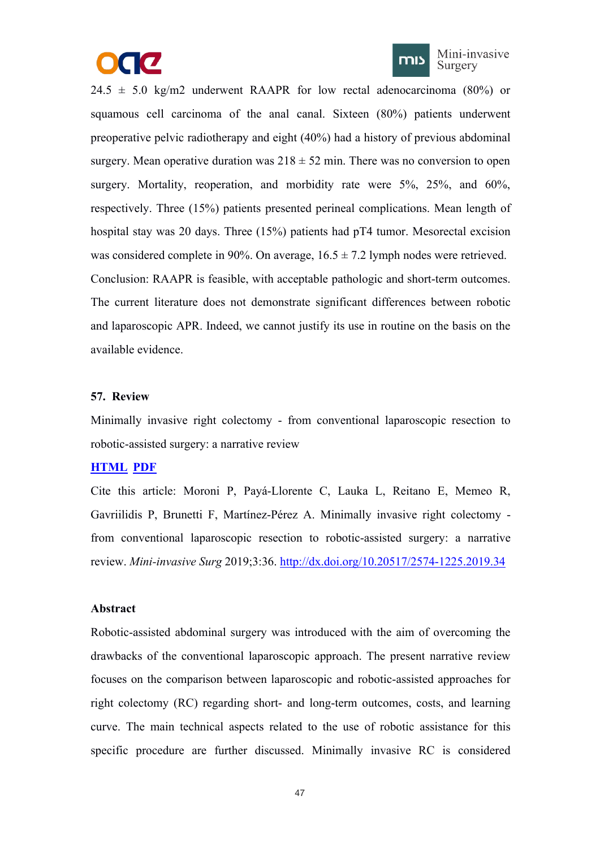



<span id="page-51-1"></span><span id="page-51-0"></span> $24.5 \pm 5.0$  kg/m2 underwent RAAPR for low rectal adenocarcinoma (80%) or squamous cell carcinoma of the anal canal. Sixteen (80%) patients underwent preoperative pelvic radiotherapy and eight (40%) had a history of previous abdominal surgery. Mean operative duration was  $218 \pm 52$  min. There was no conversion to open surgery. Mortality, reoperation, and morbidity rate were 5%, 25%, and 60%, respectively. Three (15%) patients presented perineal complications. Mean length of hospital stay was 20 days. Three (15%) patients had pT4 tumor. Mesorectal excision was considered complete in 90%. On average,  $16.5 \pm 7.2$  lymph nodes were retrieved. Conclusion: RAAPR is feasible, with acceptable pathologic and short-term outcomes. The current literature does not demonstrate significant differences between robotic and laparoscopic APR. Indeed, we cannot justify its use in routine on the basis on the available evidence.

#### **57. Review**

Minimally invasive right colectomy - from conventional laparoscopic resection to robotic-assisted surgery: a narrative review

## **[HTML](https://misjournal.net/article/view/3284) [PDF](https://oaepublishstorage.blob.core.windows.net/f5d267af-f885-41bc-83ac-cf51035d926d/3284.pdf)**

Cite this article: Moroni P, Payá-Llorente C, Lauka L, Reitano E, Memeo R, Gavriilidis P, Brunetti F, Martínez-Pérez A. Minimally invasive right colectomy from conventional laparoscopic resection to robotic-assisted surgery: a narrative review. *Mini-invasive Surg* 2019;3:36. <http://dx.doi.org/10.20517/2574-1225.2019.34>

## **Abstract**

Robotic-assisted abdominal surgery was introduced with the aim of overcoming the drawbacks of the conventional laparoscopic approach. The present narrative review focuses on the comparison between laparoscopic and robotic-assisted approaches for right colectomy (RC) regarding short- and long-term outcomes, costs, and learning curve. The main technical aspects related to the use of robotic assistance for this specific procedure are further discussed. Minimally invasive RC is considered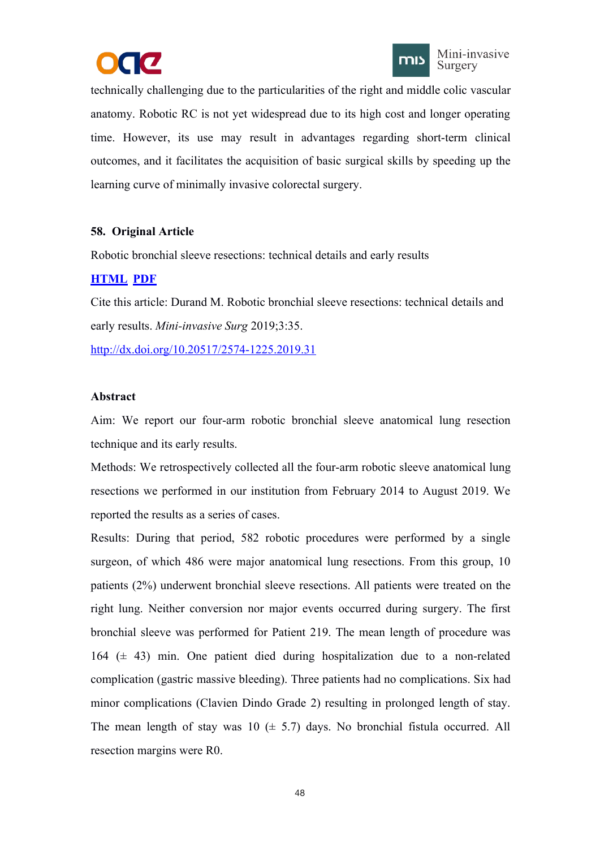



<span id="page-52-1"></span><span id="page-52-0"></span>technically challenging due to the particularities of the right and middle colic vascular anatomy. Robotic RC is not yet widespread due to its high cost and longer operating time. However, its use may result in advantages regarding short-term clinical outcomes, and it facilitates the acquisition of basic surgical skills by speeding up the learning curve of minimally invasive colorectal surgery.

# **58. Original Article**

Robotic bronchial sleeve resections: technical details and early results

# **[HTML](https://misjournal.net/article/view/3269) [PDF](https://oaepublishstorage.blob.core.windows.net/1d9ad198-4e0a-41eb-b056-38d633c6458a/3269.pdf)**

Cite this article: Durand M. Robotic bronchial sleeve resections: technical details and early results. *Mini-invasive Surg* 2019;3:35.

<http://dx.doi.org/10.20517/2574-1225.2019.31>

# **Abstract**

Aim: We report our four-arm robotic bronchial sleeve anatomical lung resection technique and its early results.

Methods: We retrospectively collected all the four-arm robotic sleeve anatomical lung resections we performed in our institution from February 2014 to August 2019. We reported the results as a series of cases.

Results: During that period, 582 robotic procedures were performed by a single surgeon, of which 486 were major anatomical lung resections. From this group, 10 patients (2%) underwent bronchial sleeve resections. All patients were treated on the right lung. Neither conversion nor major events occurred during surgery. The first bronchial sleeve was performed for Patient 219. The mean length of procedure was 164 ( $\pm$  43) min. One patient died during hospitalization due to a non-related complication (gastric massive bleeding). Three patients had no complications. Six had minor complications (Clavien Dindo Grade 2) resulting in prolonged length of stay. The mean length of stay was  $10 \ (\pm 5.7)$  days. No bronchial fistula occurred. All resection margins were R0.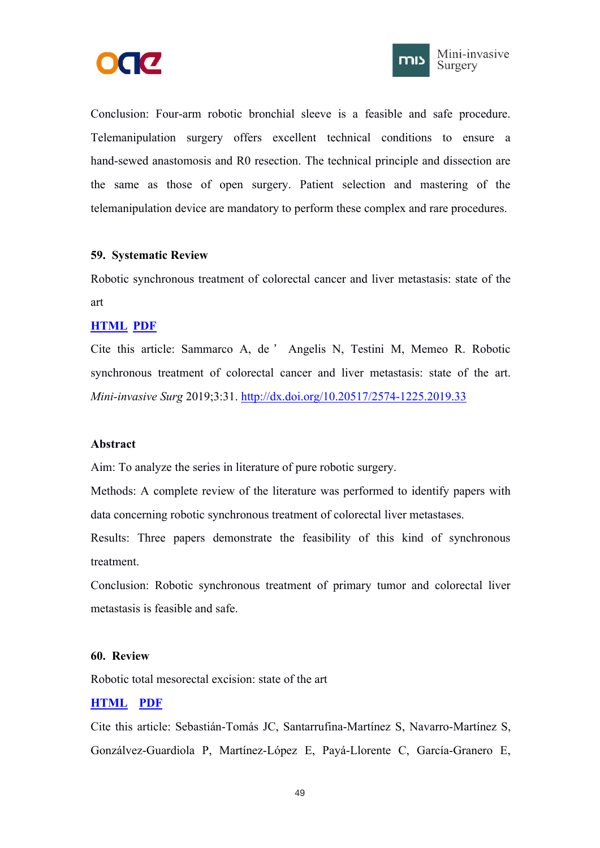



<span id="page-53-1"></span><span id="page-53-0"></span>Conclusion: Four-arm robotic bronchial sleeve is a feasible and safe procedure. Telemanipulation surgery offers excellent technical conditions to ensure a hand-sewed anastomosis and R0 resection. The technical principle and dissection are the same as those of open surgery. Patient selection and mastering of the telemanipulation device are mandatory to perform these complex and rare procedures.

#### **59. Systematic Review**

Robotic synchronous treatment of colorectal cancer and liver metastasis: state of the art

#### **[HTML](https://misjournal.net/article/view/3246) [PDF](https://oaepublishstorage.blob.core.windows.net/4375677d-566f-4447-a7b1-ed722843db69/3246.pdf)**

Cite this article: Sammarco A, de ' Angelis N, Testini M, Memeo R. Robotic synchronous treatment of colorectal cancer and liver metastasis: state of the art. *Mini-invasive Surg* 2019;3:31. <http://dx.doi.org/10.20517/2574-1225.2019.33>

#### **Abstract**

Aim: To analyze the series in literature of pure robotic surgery.

Methods: A complete review of the literature was performed to identify papers with data concerning robotic synchronous treatment of colorectal liver metastases.

Results: Three papers demonstrate the feasibility of this kind of synchronous treatment.

Conclusion: Robotic synchronous treatment of primary tumor and colorectal liver metastasis is feasible and safe.

### **60. Review**

Robotic total mesorectal excision: state of the art

## **[HTML](https://misjournal.net/article/view/3237) [PDF](https://oaepublishstorage.blob.core.windows.net/caf6454a-ea19-4950-90de-1ed77ecf32b0/3237.pdf)**

Cite this article: Sebastián-Tomás JC, Santarrufina-Martínez S, Navarro-Martínez S, Gonzálvez-Guardiola P, Martínez-López E, Payá-Llorente C, García-Granero E,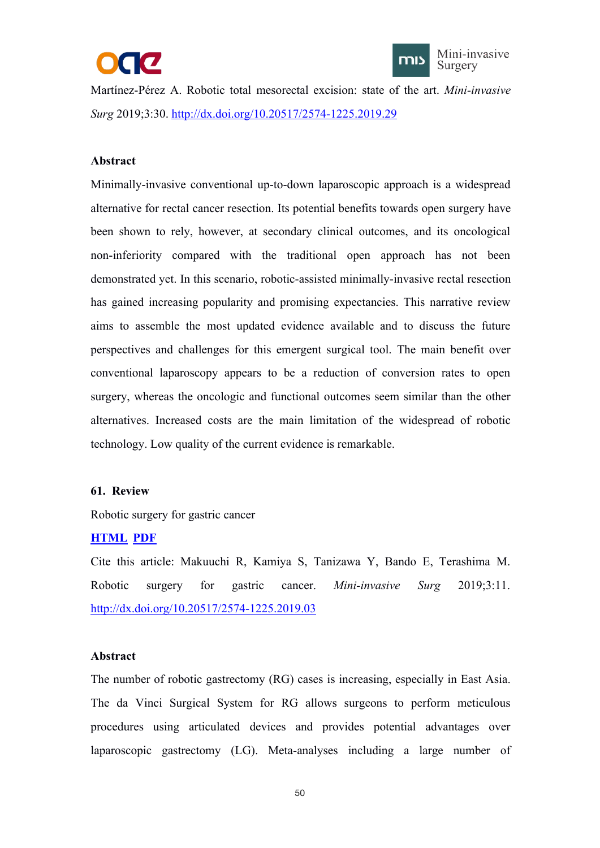



<span id="page-54-1"></span><span id="page-54-0"></span>Martínez-Pérez A. Robotic total mesorectal excision: state of the art. *Mini-invasive Surg* 2019;3:30. <http://dx.doi.org/10.20517/2574-1225.2019.29>

### **Abstract**

Minimally-invasive conventional up-to-down laparoscopic approach is a widespread alternative for rectal cancer resection. Its potential benefits towards open surgery have been shown to rely, however, at secondary clinical outcomes, and its oncological non-inferiority compared with the traditional open approach has notbeen demonstrated yet. In this scenario, robotic-assisted minimally-invasive rectal resection has gained increasing popularity and promising expectancies. This narrative review aims to assemble the most updated evidence available and to discuss the future perspectives and challenges for this emergent surgical tool. The main benefit over conventional laparoscopy appears to be a reduction of conversion rates to open surgery, whereas the oncologic and functional outcomes seem similar than the other alternatives. Increased costs are the main limitation of the widespread of robotic technology. Low quality of the current evidence is remarkable.

#### **61. Review**

Robotic surgery for gastric cancer

#### **[HTML](https://misjournal.net/article/view/3044) [PDF](https://oaepublishstorage.blob.core.windows.net/63cb7331-aab5-4fcc-a8fc-24152e6fa9f0/3044.pdf)**

Cite this article: Makuuchi R, Kamiya S, Tanizawa Y, Bando E, Terashima M. Robotic surgery for gastric cancer. *Mini-invasive Surg* 2019;3:11. <http://dx.doi.org/10.20517/2574-1225.2019.03>

#### **Abstract**

The number of robotic gastrectomy (RG) cases is increasing, especially in East Asia. The da Vinci Surgical System for RG allows surgeons to perform meticulous procedures using articulated devices and provides potential advantages over laparoscopic gastrectomy (LG). Meta-analyses including a large number of